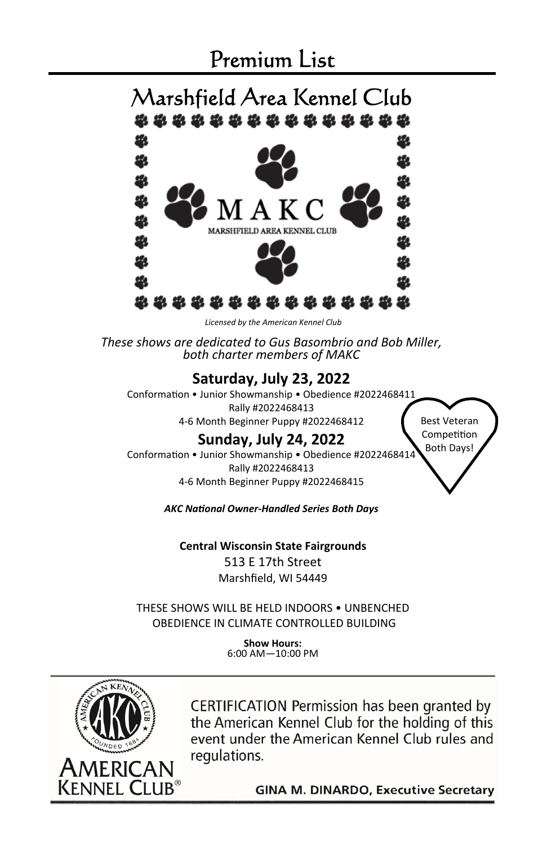### Premium List



*Licensed by the American Kennel Club* 

*These shows are dedicated to Gus Basombrio and Bob Miller, both charter members of MAKC* 

#### **Saturday, July 23, 2022**

Conformation • Junior Showmanship • Obedience #2022468411 Rally #2022468413

4-6 Month Beginner Puppy #2022468412

### **Sunday, July 24, 2022**

Conformation • Junior Showmanship • Obedience #2022468414 Rally #2022468413 4-6 Month Beginner Puppy #2022468415

*AKC NaƟonal Owner-Handled Series Both Days* 

**Central Wisconsin State Fairgrounds** 513 E 17th Street Marshfield, WI 54449

THESE SHOWS WILL BE HELD INDOORS • UNBENCHED OBEDIENCE IN CLIMATE CONTROLLED BUILDING

> **Show Hours:**  6:00 AM—10:00 PM



CERTIFICATION Permission has been granted by the American Kennel Club for the holding of this event under the American Kennel Club rules and regulations.

**GINA M. DINARDO, Executive Secretary** 

Best Veteran Competition Both Days!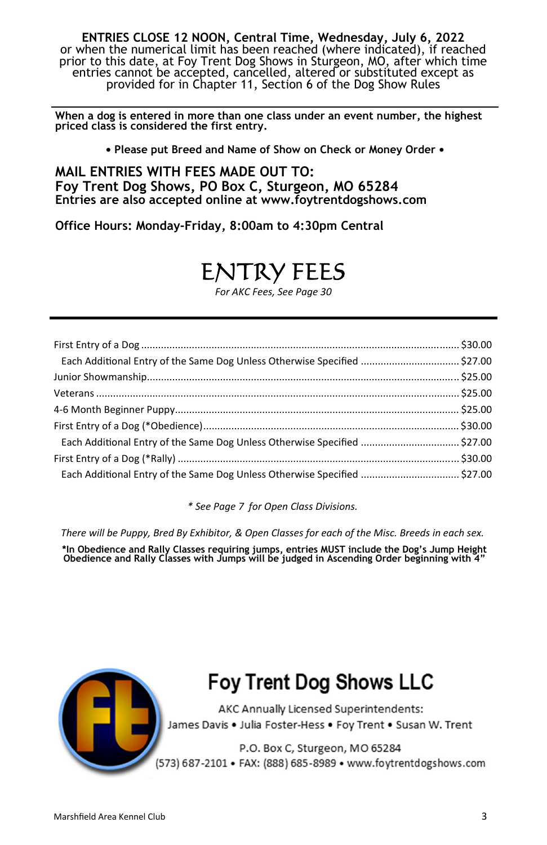**ENTRIES CLOSE 12 NOON, Central Time, Wednesday, July 6, 2022**  or when the numerical limit has been reached (where indicated), if reached prior to this date, at Foy Trent Dog Shows in Sturgeon, MO, after which time entries cannot be accepted, cancelled, altered or substituted except as provided for in Chapter 11, Section 6 of the Dog Show Rules

**When a dog is entered in more than one class under an event number, the highest priced class is considered the first entry.**  

**• Please put Breed and Name of Show on Check or Money Order •** 

**MAIL ENTRIES WITH FEES MADE OUT TO: Foy Trent Dog Shows, PO Box C, Sturgeon, MO 65284 Entries are also accepted online at www.foytrentdogshows.com** 

**Office Hours: Monday-Friday, 8:00am to 4:30pm Central** 

## ENTRY FEES

*For AKC Fees, See Page 30* 

| Each Additional Entry of the Same Dog Unless Otherwise Specified  \$27.00 |  |
|---------------------------------------------------------------------------|--|
|                                                                           |  |
|                                                                           |  |
|                                                                           |  |
|                                                                           |  |
| Each Additional Entry of the Same Dog Unless Otherwise Specified  \$27.00 |  |
|                                                                           |  |
| Each Additional Entry of the Same Dog Unless Otherwise Specified  \$27.00 |  |

*\* See Page 7 for Open Class Divisions.* 

*There will be Puppy, Bred By Exhibitor, & Open Classes for each of the Misc. Breeds in each sex.* 

**\*In Obedience and Rally Classes requiring jumps, entries MUST include the Dog's Jump Height Obedience and Rally Classes with Jumps will be judged in Ascending Order beginning with 4"** 



## **Foy Trent Dog Shows LLC**

AKC Annually Licensed Superintendents: James Davis . Julia Foster-Hess . Foy Trent . Susan W. Trent

P.O. Box C, Sturgeon, MO 65284 (573) 687-2101 • FAX: (888) 685-8989 • www.foytrentdogshows.com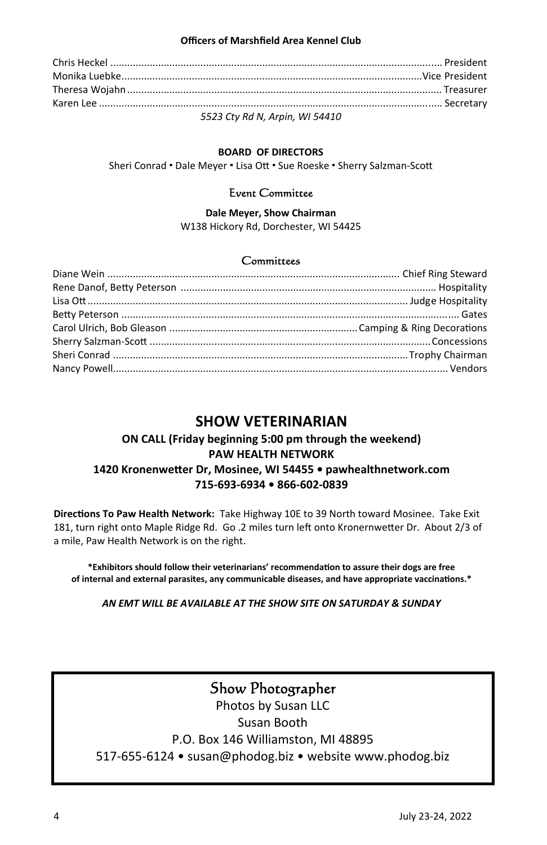#### **Officers of Marshfield Area Kennel Club**

| $F = 22.6$ |
|------------|

*5523 Cty Rd N, Arpin, WI 54410*

#### **BOARD OF DIRECTORS**

Sheri Conrad • Dale Meyer • Lisa Ott • Sue Roeske • Sherry Salzman-Scott

#### Event Committee

#### **Dale Meyer, Show Chairman**  W138 Hickory Rd, Dorchester, WI 54425

#### **Committees**

#### **SHOW VETERINARIAN**

#### **ON CALL (Friday beginning 5:00 pm through the weekend) PAW HEALTH NETWORK 1420 KronenweƩer Dr, Mosinee, WI 54455 • pawhealthnetwork.com 715-693-6934 • 866-602-0839**

**DirecƟons To Paw Health Network:** Take Highway 10E to 39 North toward Mosinee. Take Exit 181, turn right onto Maple Ridge Rd. Go .2 miles turn left onto Kronernwetter Dr. About 2/3 of a mile, Paw Health Network is on the right.

**\*Exhibitors should follow their veterinarians' recommendaƟon to assure their dogs are free**  of internal and external parasites, any communicable diseases, and have appropriate vaccinations.\*

*AN EMT WILL BE AVAILABLE AT THE SHOW SITE ON SATURDAY & SUNDAY* 

#### Show Photographer

Photos by Susan LLC Susan Booth P.O. Box 146 Williamston, MI 48895 517-655-6124 • susan@phodog.biz • website www.phodog.biz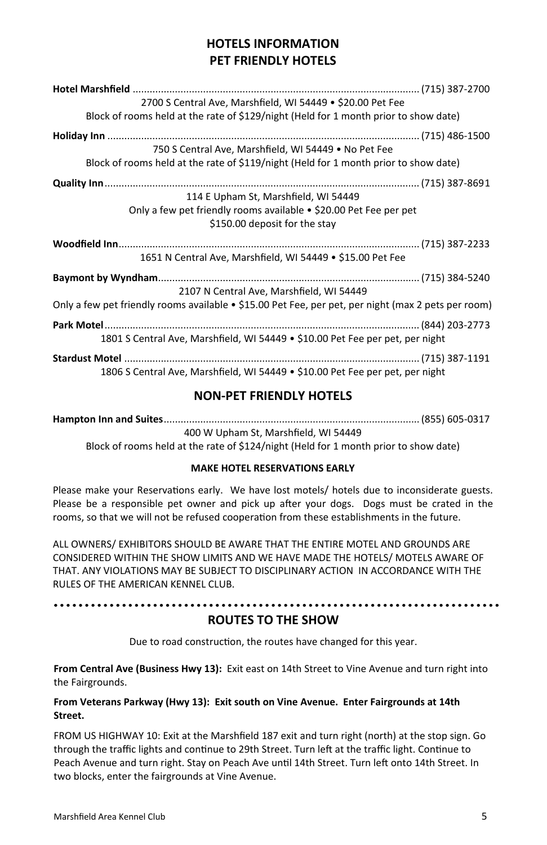#### **HOTELS INFORMATION PET FRIENDLY HOTELS**

| 2700 S Central Ave, Marshfield, WI 54449 • \$20.00 Pet Fee                                                                                 |
|--------------------------------------------------------------------------------------------------------------------------------------------|
| Block of rooms held at the rate of \$129/night (Held for 1 month prior to show date)                                                       |
|                                                                                                                                            |
| 750 S Central Ave, Marshfield, WI 54449 • No Pet Fee                                                                                       |
| Block of rooms held at the rate of \$119/night (Held for 1 month prior to show date)                                                       |
| 114 E Upham St, Marshfield, WI 54449<br>Only a few pet friendly rooms available • \$20.00 Pet Fee per pet<br>\$150.00 deposit for the stay |
| 1651 N Central Ave, Marshfield, WI 54449 • \$15.00 Pet Fee                                                                                 |
|                                                                                                                                            |
| 2107 N Central Ave, Marshfield, WI 54449                                                                                                   |
| Only a few pet friendly rooms available • \$15.00 Pet Fee, per pet, per night (max 2 pets per room)                                        |
|                                                                                                                                            |
| 1801 S Central Ave, Marshfield, WI 54449 • \$10.00 Pet Fee per pet, per night                                                              |

#### **NON-PET FRIENDLY HOTELS**

**Hampton Inn and Suites** ........................................................................................... (855) 605-0317 400 W Upham St, Marshfield, WI 54449 Block of rooms held at the rate of \$124/night (Held for 1 month prior to show date)

#### **MAKE HOTEL RESERVATIONS EARLY**

Please make your Reservations early. We have lost motels/ hotels due to inconsiderate guests. Please be a responsible pet owner and pick up after your dogs. Dogs must be crated in the rooms, so that we will not be refused cooperation from these establishments in the future.

ALL OWNERS/ EXHIBITORS SHOULD BE AWARE THAT THE ENTIRE MOTEL AND GROUNDS ARE CONSIDERED WITHIN THE SHOW LIMITS AND WE HAVE MADE THE HOTELS/ MOTELS AWARE OF THAT. ANY VIOLATIONS MAY BE SUBJECT TO DISCIPLINARY ACTION IN ACCORDANCE WITH THE RULES OF THE AMERICAN KENNEL CLUB.

#### **ROUTES TO THE SHOW**

Due to road construction, the routes have changed for this year.

**From Central Ave (Business Hwy 13):** Exit east on 14th Street to Vine Avenue and turn right into the Fairgrounds.

#### **From Veterans Parkway (Hwy 13): Exit south on Vine Avenue. Enter Fairgrounds at 14th Street.**

FROM US HIGHWAY 10: Exit at the Marshfield 187 exit and turn right (north) at the stop sign. Go through the traffic lights and continue to 29th Street. Turn left at the traffic light. Continue to Peach Avenue and turn right. Stay on Peach Ave until 14th Street. Turn left onto 14th Street. In two blocks, enter the fairgrounds at Vine Avenue.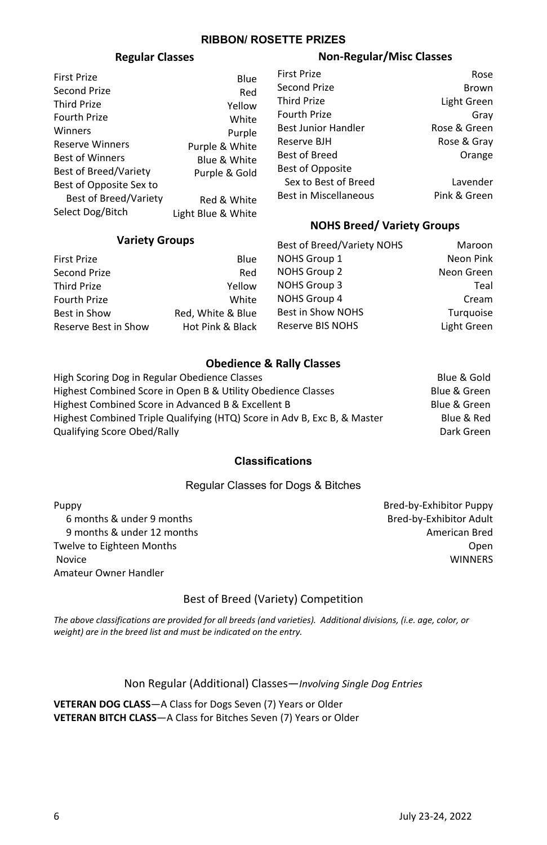#### **RIBBON/ ROSETTE PRIZES**

#### **Regular Classes**

| <b>First Prize</b>           | Blue               |
|------------------------------|--------------------|
| Second Prize                 | Red                |
| <b>Third Prize</b>           | Yellow             |
| <b>Fourth Prize</b>          | White              |
| Winners                      | Purple             |
| <b>Reserve Winners</b>       | Purple & White     |
| <b>Best of Winners</b>       | Blue & White       |
| <b>Best of Breed/Variety</b> | Purple & Gold      |
| Best of Opposite Sex to      |                    |
| <b>Best of Breed/Variety</b> | Red & White        |
| Select Dog/Bitch             | Light Blue & White |

#### **Variety Groups**

#### **Non-Regular/Misc Classes**

| <b>First Prize</b>           | Rose         |
|------------------------------|--------------|
| Second Prize                 | <b>Brown</b> |
| <b>Third Prize</b>           | Light Green  |
| Fourth Prize                 | Gray         |
| Best Junior Handler          | Rose & Green |
| Reserve BJH                  | Rose & Gray  |
| <b>Best of Breed</b>         | Orange       |
| Best of Opposite             |              |
| Sex to Best of Breed         | Lavender     |
| <b>Best in Miscellaneous</b> | Pink & Green |

#### **NOHS Breed/ Variety Groups**

| <b>VALICLY GIUUDS</b> |                   | Best of Breed/Variety NOHS | Maroon      |
|-----------------------|-------------------|----------------------------|-------------|
| First Prize           | Blue              | <b>NOHS Group 1</b>        | Neon Pink   |
| Second Prize          | Red               | <b>NOHS Group 2</b>        | Neon Green  |
| Third Prize           | Yellow            | <b>NOHS Group 3</b>        | Teal        |
| Fourth Prize          | White             | <b>NOHS Group 4</b>        | Cream       |
| Best in Show          | Red. White & Blue | Best in Show NOHS          | Turquoise   |
| Reserve Best in Show  | Hot Pink & Black  | <b>Reserve BIS NOHS</b>    | Light Green |
|                       |                   |                            |             |

#### **Obedience & Rally Classes**

| High Scoring Dog in Regular Obedience Classes                            | Blue & Gold  |
|--------------------------------------------------------------------------|--------------|
| Highest Combined Score in Open B & Utility Obedience Classes             | Blue & Green |
| Highest Combined Score in Advanced B & Excellent B                       | Blue & Green |
| Highest Combined Triple Qualifying (HTQ) Score in Adv B, Exc B, & Master | Blue & Red   |
| Qualifving Score Obed/Rally                                              | Dark Green   |
|                                                                          |              |

#### **Classifications**

#### Regular Classes for Dogs & Bitches

Puppy 6 months & under 9 months 9 months & under 12 months Twelve to Eighteen Months Novice Amateur Owner Handler

Bred-by-Exhibitor Puppy Bred-by-Exhibitor Adult American Bred Open WINNERS

#### Best of Breed (Variety) Competition

*The above classifications are provided for all breeds (and varieties). Additional divisions, (i.e. age, color, or weight) are in the breed list and must be indicated on the entry.* 

Non Regular (Additional) Classes—*Involving Single Dog Entries*

**VETERAN DOG CLASS**—A Class for Dogs Seven (7) Years or Older **VETERAN BITCH CLASS**—A Class for Bitches Seven (7) Years or Older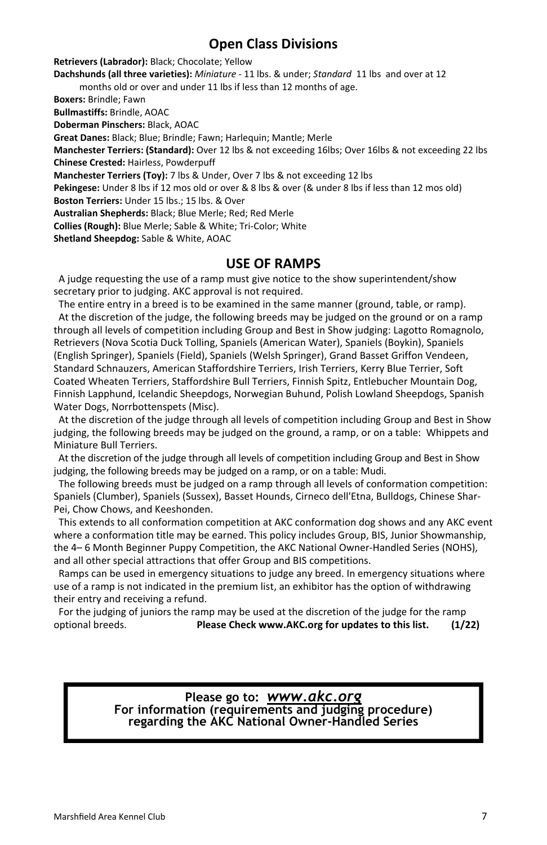#### **Open Class Divisions**

**Retrievers (Labrador):** Black; Chocolate; Yellow

**Dachshunds (all three varieties):** *Miniature -* 11 lbs. & under; *Standard* 11 lbs and over at 12 months old or over and under 11 lbs if less than 12 months of age.

**Boxers:** Brindle; Fawn

**Bullmastiffs:** Brindle, AOAC

**Doberman Pinschers:** Black, AOAC

**Great Danes:** Black; Blue; Brindle; Fawn; Harlequin; Mantle; Merle

**Manchester Terriers: (Standard):** Over 12 lbs & not exceeding 16lbs; Over 16lbs & not exceeding 22 lbs **Chinese Crested:** Hairless, Powderpuff

**Manchester Terriers (Toy):** 7 lbs & Under, Over 7 lbs & not exceeding 12 lbs

**Pekingese:** Under 8 lbs if 12 mos old or over & 8 lbs & over (& under 8 lbs if less than 12 mos old)

**Boston Terriers:** Under 15 lbs.; 15 lbs. & Over

**Australian Shepherds:** Black; Blue Merle; Red; Red Merle

**Collies (Rough):** Blue Merle; Sable & White; Tri-Color; White

**Shetland Sheepdog:** Sable & White, AOAC

#### **USE OF RAMPS**

 A judge requesting the use of a ramp must give notice to the show superintendent/show secretary prior to judging. AKC approval is not required.

 The entire entry in a breed is to be examined in the same manner (ground, table, or ramp). At the discretion of the judge, the following breeds may be judged on the ground or on a ramp through all levels of competition including Group and Best in Show judging: Lagotto Romagnolo, Retrievers (Nova Scotia Duck Tolling, Spaniels (American Water), Spaniels (Boykin), Spaniels (English Springer), Spaniels (Field), Spaniels (Welsh Springer), Grand Basset Griffon Vendeen, Standard Schnauzers, American Staffordshire Terriers, Irish Terriers, Kerry Blue Terrier, Soft Coated Wheaten Terriers, Staffordshire Bull Terriers, Finnish Spitz, Entlebucher Mountain Dog, Finnish Lapphund, Icelandic Sheepdogs, Norwegian Buhund, Polish Lowland Sheepdogs, Spanish Water Dogs, Norrbottenspets (Misc).

 At the discretion of the judge through all levels of competition including Group and Best in Show judging, the following breeds may be judged on the ground, a ramp, or on a table: Whippets and Miniature Bull Terriers.

 At the discretion of the judge through all levels of competition including Group and Best in Show judging, the following breeds may be judged on a ramp, or on a table: Mudi.

 The following breeds must be judged on a ramp through all levels of conformation competition: Spaniels (Clumber), Spaniels (Sussex), Basset Hounds, Cirneco dell'Etna, Bulldogs, Chinese Shar-Pei, Chow Chows, and Keeshonden.

 This extends to all conformation competition at AKC conformation dog shows and any AKC event where a conformation title may be earned. This policy includes Group, BIS, Junior Showmanship, the 4– 6 Month Beginner Puppy Competition, the AKC National Owner-Handled Series (NOHS), and all other special attractions that offer Group and BIS competitions.

 Ramps can be used in emergency situations to judge any breed. In emergency situations where use of a ramp is not indicated in the premium list, an exhibitor has the option of withdrawing their entry and receiving a refund.

 For the judging of juniors the ramp may be used at the discretion of the judge for the ramp optional breeds. **Please Check www.AKC.org for updates to this list. (1/22)** 

# **Please go to:** *www.akc.org* **For information (requirements and judging procedure) regarding the AKC National Owner-Handled Series**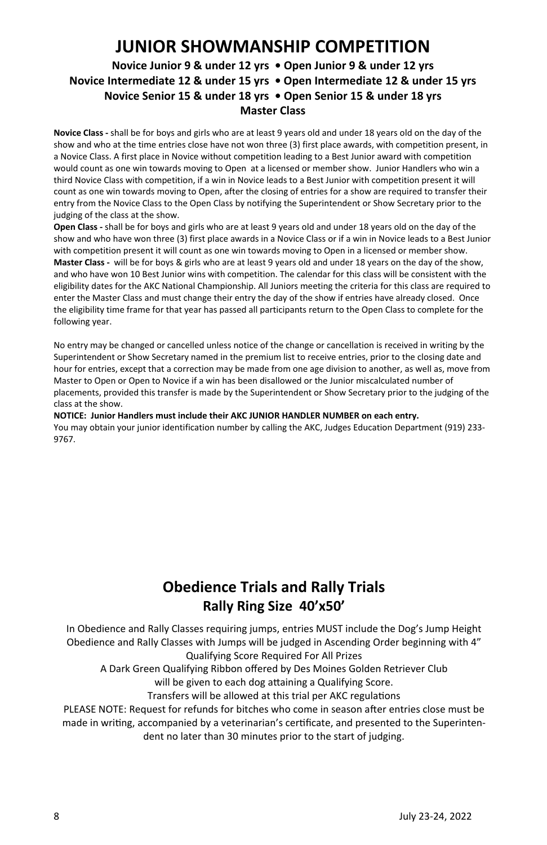### **JUNIOR SHOWMANSHIP COMPETITION**

#### **Novice Junior 9 & under 12 yrs • Open Junior 9 & under 12 yrs Novice Intermediate 12 & under 15 yrs • Open Intermediate 12 & under 15 yrs Novice Senior 15 & under 18 yrs • Open Senior 15 & under 18 yrs Master Class**

**Novice Class -** shall be for boys and girls who are at least 9 years old and under 18 years old on the day of the show and who at the time entries close have not won three (3) first place awards, with competition present, in a Novice Class. A first place in Novice without competition leading to a Best Junior award with competition would count as one win towards moving to Open at a licensed or member show. Junior Handlers who win a third Novice Class with competition, if a win in Novice leads to a Best Junior with competition present it will count as one win towards moving to Open, after the closing of entries for a show are required to transfer their entry from the Novice Class to the Open Class by notifying the Superintendent or Show Secretary prior to the judging of the class at the show.

**Open Class -** shall be for boys and girls who are at least 9 years old and under 18 years old on the day of the show and who have won three (3) first place awards in a Novice Class or if a win in Novice leads to a Best Junior with competition present it will count as one win towards moving to Open in a licensed or member show. **Master Class -** will be for boys & girls who are at least 9 years old and under 18 years on the day of the show, and who have won 10 Best Junior wins with competition. The calendar for this class will be consistent with the eligibility dates for the AKC National Championship. All Juniors meeting the criteria for this class are required to enter the Master Class and must change their entry the day of the show if entries have already closed. Once the eligibility time frame for that year has passed all participants return to the Open Class to complete for the following year.

No entry may be changed or cancelled unless notice of the change or cancellation is received in writing by the Superintendent or Show Secretary named in the premium list to receive entries, prior to the closing date and hour for entries, except that a correction may be made from one age division to another, as well as, move from Master to Open or Open to Novice if a win has been disallowed or the Junior miscalculated number of placements, provided this transfer is made by the Superintendent or Show Secretary prior to the judging of the class at the show.

**NOTICE: Junior Handlers must include their AKC JUNIOR HANDLER NUMBER on each entry.**  You may obtain your junior identification number by calling the AKC, Judges Education Department (919) 233- 9767.

### **Obedience Trials and Rally Trials Rally Ring Size 40'x50'**

In Obedience and Rally Classes requiring jumps, entries MUST include the Dog's Jump Height Obedience and Rally Classes with Jumps will be judged in Ascending Order beginning with 4" Qualifying Score Required For All Prizes

A Dark Green Qualifying Ribbon offered by Des Moines Golden Retriever Club will be given to each dog attaining a Qualifying Score.

Transfers will be allowed at this trial per AKC regulations

PLEASE NOTE: Request for refunds for bitches who come in season after entries close must be made in writing, accompanied by a veterinarian's certificate, and presented to the Superintendent no later than 30 minutes prior to the start of judging.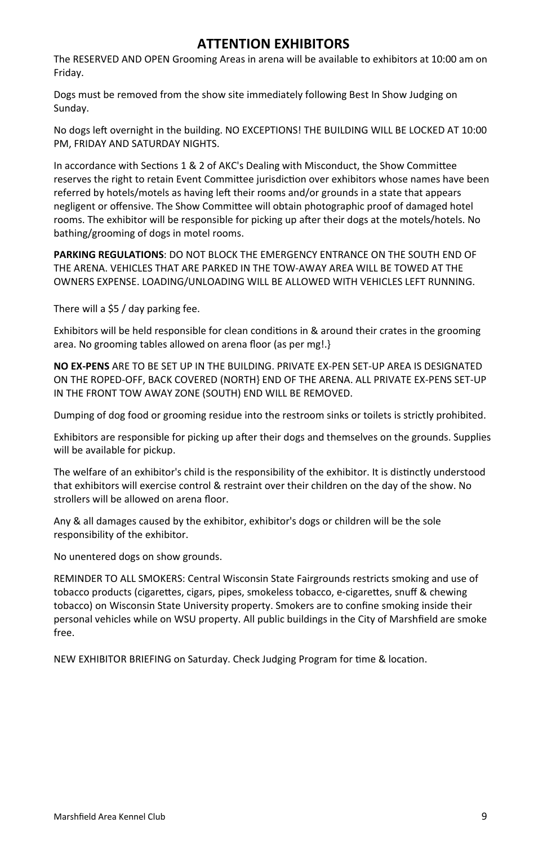#### **ATTENTION EXHIBITORS**

The RESERVED AND OPEN Grooming Areas in arena will be available to exhibitors at 10:00 am on Friday.

Dogs must be removed from the show site immediately following Best In Show Judging on Sunday.

No dogs left overnight in the building. NO EXCEPTIONS! THE BUILDING WILL BE LOCKED AT 10:00 PM, FRIDAY AND SATURDAY NIGHTS.

In accordance with Sections 1 & 2 of AKC's Dealing with Misconduct, the Show Committee reserves the right to retain Event Committee jurisdiction over exhibitors whose names have been referred by hotels/motels as having left their rooms and/or grounds in a state that appears negligent or offensive. The Show Committee will obtain photographic proof of damaged hotel rooms. The exhibitor will be responsible for picking up after their dogs at the motels/hotels. No bathing/grooming of dogs in motel rooms.

**PARKING REGULATIONS**: DO NOT BLOCK THE EMERGENCY ENTRANCE ON THE SOUTH END OF THE ARENA. VEHICLES THAT ARE PARKED IN THE TOW-AWAY AREA WILL BE TOWED AT THE OWNERS EXPENSE. LOADING/UNLOADING WILL BE ALLOWED WITH VEHICLES LEFT RUNNING.

There will a \$5 / day parking fee.

Exhibitors will be held responsible for clean conditions in & around their crates in the grooming area. No grooming tables allowed on arena floor (as per mg!.}

**NO EX-PENS** ARE TO BE SET UP IN THE BUILDING. PRIVATE EX-PEN SET-UP AREA IS DESIGNATED ON THE ROPED-OFF, BACK COVERED (NORTH} END OF THE ARENA. ALL PRIVATE EX-PENS SET-UP IN THE FRONT TOW AWAY ZONE (SOUTH) END WILL BE REMOVED.

Dumping of dog food or grooming residue into the restroom sinks or toilets is strictly prohibited.

Exhibitors are responsible for picking up after their dogs and themselves on the grounds. Supplies will be available for pickup.

The welfare of an exhibitor's child is the responsibility of the exhibitor. It is distinctly understood that exhibitors will exercise control & restraint over their children on the day of the show. No strollers will be allowed on arena floor.

Any & all damages caused by the exhibitor, exhibitor's dogs or children will be the sole responsibility of the exhibitor.

No unentered dogs on show grounds.

REMINDER TO ALL SMOKERS: Central Wisconsin State Fairgrounds restricts smoking and use of tobacco products (cigarettes, cigars, pipes, smokeless tobacco, e-cigarettes, snuff & chewing tobacco) on Wisconsin State University property. Smokers are to confine smoking inside their personal vehicles while on WSU property. All public buildings in the City of Marshfield are smoke free.

NEW EXHIBITOR BRIEFING on Saturday. Check Judging Program for time & location.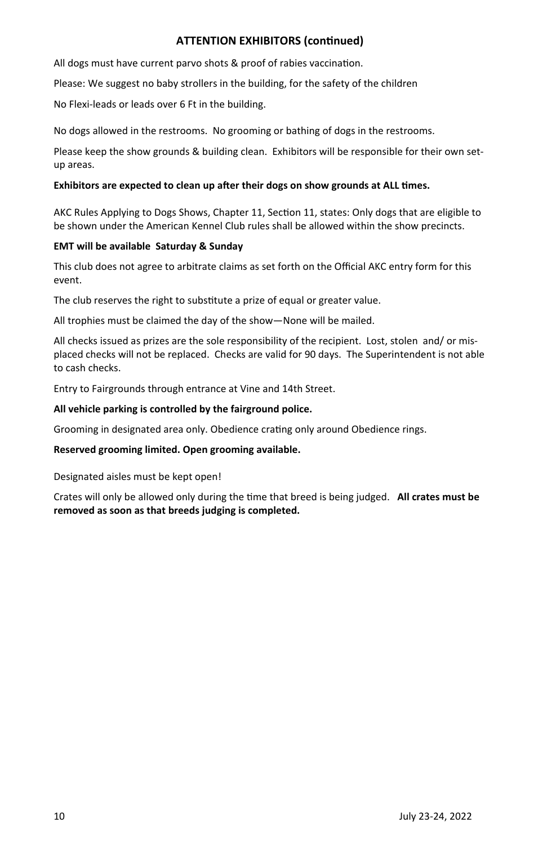#### **ATTENTION EXHIBITORS (continued)**

All dogs must have current parvo shots & proof of rabies vaccination.

Please: We suggest no baby strollers in the building, for the safety of the children

No Flexi-leads or leads over 6 Ft in the building.

No dogs allowed in the restrooms. No grooming or bathing of dogs in the restrooms.

Please keep the show grounds & building clean. Exhibitors will be responsible for their own setup areas.

#### **Exhibitors are expected to clean up after their dogs on show grounds at ALL times.**

AKC Rules Applying to Dogs Shows, Chapter 11, Section 11, states: Only dogs that are eligible to be shown under the American Kennel Club rules shall be allowed within the show precincts.

#### **EMT will be available Saturday & Sunday**

This club does not agree to arbitrate claims as set forth on the Official AKC entry form for this event.

The club reserves the right to substitute a prize of equal or greater value.

All trophies must be claimed the day of the show—None will be mailed.

All checks issued as prizes are the sole responsibility of the recipient. Lost, stolen and/ or misplaced checks will not be replaced. Checks are valid for 90 days. The Superintendent is not able to cash checks.

Entry to Fairgrounds through entrance at Vine and 14th Street.

#### **All vehicle parking is controlled by the fairground police.**

Grooming in designated area only. Obedience crating only around Obedience rings.

#### **Reserved grooming limited. Open grooming available.**

Designated aisles must be kept open!

Crates will only be allowed only during the time that breed is being judged. **All crates must be removed as soon as that breeds judging is completed.**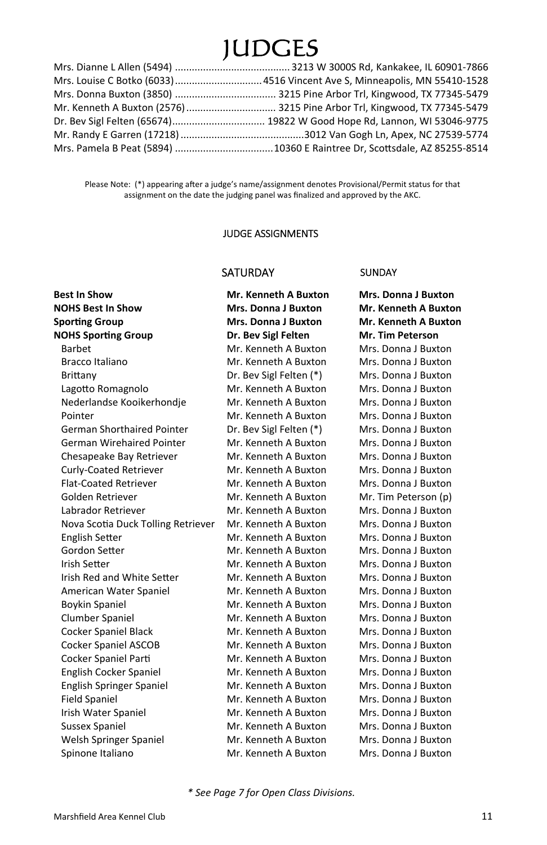## JUDGES

| Mr. Kenneth A Buxton (2576)  3215 Pine Arbor Trl, Kingwood, TX 77345-5479 |
|---------------------------------------------------------------------------|
|                                                                           |
|                                                                           |
|                                                                           |

Please Note: (\*) appearing after a judge's name/assignment denotes Provisional/Permit status for that assignment on the date the judging panel was finalized and approved by the AKC.

#### JUDGE ASSIGNMENTS

#### SATURDAY SUNDAY

| <b>Best In Show</b>                | <b>Mr. Kenneth A Buxton</b> | <b>Mrs. Donna J Buxton</b>  |
|------------------------------------|-----------------------------|-----------------------------|
| <b>NOHS Best In Show</b>           | <b>Mrs. Donna J Buxton</b>  | <b>Mr. Kenneth A Buxton</b> |
| <b>Sporting Group</b>              | <b>Mrs. Donna J Buxton</b>  | Mr. Kenneth A Buxton        |
| <b>NOHS Sporting Group</b>         | Dr. Bev Sigl Felten         | Mr. Tim Peterson            |
| Barbet                             | Mr. Kenneth A Buxton        | Mrs. Donna J Buxton         |
| Bracco Italiano                    | Mr. Kenneth A Buxton        | Mrs. Donna J Buxton         |
| Brittany                           | Dr. Bev Sigl Felten (*)     | Mrs. Donna J Buxton         |
| Lagotto Romagnolo                  | Mr. Kenneth A Buxton        | Mrs. Donna J Buxton         |
| Nederlandse Kooikerhondje          | Mr. Kenneth A Buxton        | Mrs. Donna J Buxton         |
| Pointer                            | Mr. Kenneth A Buxton        | Mrs. Donna J Buxton         |
| <b>German Shorthaired Pointer</b>  | Dr. Bev Sigl Felten (*)     | Mrs. Donna J Buxton         |
| <b>German Wirehaired Pointer</b>   | Mr. Kenneth A Buxton        | Mrs. Donna J Buxton         |
| Chesapeake Bay Retriever           | Mr. Kenneth A Buxton        | Mrs. Donna J Buxton         |
| Curly-Coated Retriever             | Mr. Kenneth A Buxton        | Mrs. Donna J Buxton         |
| <b>Flat-Coated Retriever</b>       | Mr. Kenneth A Buxton        | Mrs. Donna J Buxton         |
| Golden Retriever                   | Mr. Kenneth A Buxton        | Mr. Tim Peterson (p)        |
| Labrador Retriever                 | Mr. Kenneth A Buxton        | Mrs. Donna J Buxton         |
| Nova Scotia Duck Tolling Retriever | Mr. Kenneth A Buxton        | Mrs. Donna J Buxton         |
| <b>English Setter</b>              | Mr. Kenneth A Buxton        | Mrs. Donna J Buxton         |
| Gordon Setter                      | Mr. Kenneth A Buxton        | Mrs. Donna J Buxton         |
| <b>Irish Setter</b>                | Mr. Kenneth A Buxton        | Mrs. Donna J Buxton         |
| Irish Red and White Setter         | Mr. Kenneth A Buxton        | Mrs. Donna J Buxton         |
| American Water Spaniel             | Mr. Kenneth A Buxton        | Mrs. Donna J Buxton         |
| <b>Boykin Spaniel</b>              | Mr. Kenneth A Buxton        | Mrs. Donna J Buxton         |
| Clumber Spaniel                    | Mr. Kenneth A Buxton        | Mrs. Donna J Buxton         |
| Cocker Spaniel Black               | Mr. Kenneth A Buxton        | Mrs. Donna J Buxton         |
| Cocker Spaniel ASCOB               | Mr. Kenneth A Buxton        | Mrs. Donna J Buxton         |
| Cocker Spaniel Parti               | Mr. Kenneth A Buxton        | Mrs. Donna J Buxton         |
| English Cocker Spaniel             | Mr. Kenneth A Buxton        | Mrs. Donna J Buxton         |
| English Springer Spaniel           | Mr. Kenneth A Buxton        | Mrs. Donna J Buxton         |
| <b>Field Spaniel</b>               | Mr. Kenneth A Buxton        | Mrs. Donna J Buxton         |
| Irish Water Spaniel                | Mr. Kenneth A Buxton        | Mrs. Donna J Buxton         |
| <b>Sussex Spaniel</b>              | Mr. Kenneth A Buxton        | Mrs. Donna J Buxton         |
| Welsh Springer Spaniel             | Mr. Kenneth A Buxton        | Mrs. Donna J Buxton         |
| Spinone Italiano                   | Mr. Kenneth A Buxton        | Mrs. Donna J Buxton         |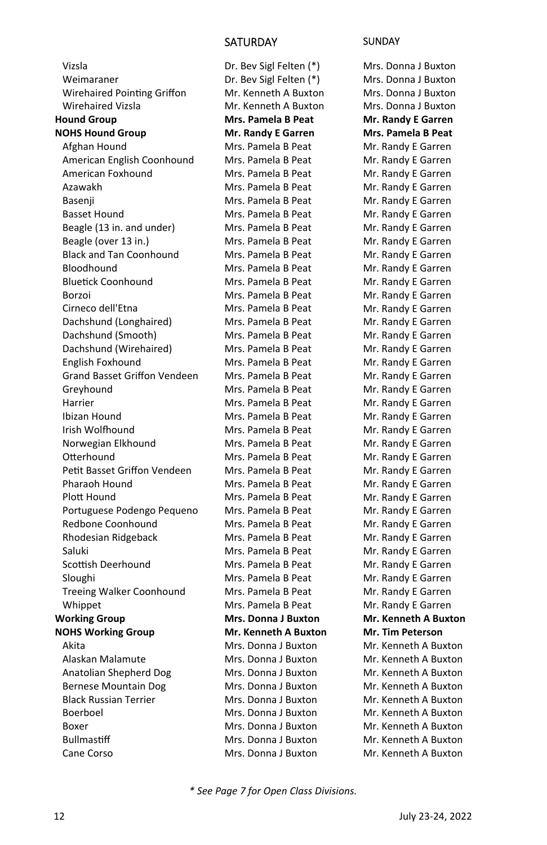#### SATURDAY SUNDAY

 Vizsla Weimaraner Wirehaired Pointing Griffon Wirehaired Vizsla **Hound Group NOHS Hound Group**  Afghan Hound American English Coonhound American Foxhound Azawakh Basenji Basset Hound Beagle (13 in. and under) Beagle (over 13 in.) Black and Tan Coonhound Bloodhound Bluetick Coonhound Borzoi Cirneco dell'Etna Dachshund (Longhaired) Dachshund (Smooth) Dachshund (Wirehaired) English Foxhound Grand Basset Griffon Vendeen Greyhound Harrier Ibizan Hound Irish Wolfhound Norwegian Elkhound **Otterhound** Petit Basset Griffon Vendeen Pharaoh Hound Plott Hound Portuguese Podengo Pequeno Redbone Coonhound Rhodesian Ridgeback Saluki Scottish Deerhound Sloughi Treeing Walker Coonhound Whippet **Working Group NOHS Working Group**  Akita Alaskan Malamute Anatolian Shepherd Dog Bernese Mountain Dog Black Russian Terrier Boerboel Boxer **Bullmastiff** Cane Corso

Dr. Bev Sigl Felten (\*) Dr. Bev Sigl Felten (\*) Mr. Kenneth A Buxton Mr. Kenneth A Buxton **Mrs. Pamela B Peat Mr. Randy E Garren**  Mrs. Pamela B Peat Mrs. Pamela B Peat Mrs. Pamela B Peat Mrs. Pamela B Peat Mrs. Pamela B Peat Mrs. Pamela B Peat Mrs. Pamela B Peat Mrs. Pamela B Peat Mrs. Pamela B Peat Mrs. Pamela B Peat Mrs. Pamela B Peat Mrs. Pamela B Peat Mrs. Pamela B Peat Mrs. Pamela B Peat Mrs. Pamela B Peat Mrs. Pamela B Peat Mrs. Pamela B Peat Mrs. Pamela B Peat Mrs. Pamela B Peat Mrs. Pamela B Peat Mrs. Pamela B Peat Mrs. Pamela B Peat Mrs. Pamela B Peat Mrs. Pamela B Peat Mrs. Pamela B Peat Mrs. Pamela B Peat Mrs. Pamela B Peat Mrs. Pamela B Peat Mrs. Pamela B Peat Mrs. Pamela B Peat Mrs. Pamela B Peat Mrs. Pamela B Peat Mrs. Pamela B Peat Mrs. Pamela B Peat Mrs. Pamela B Peat **Mrs. Donna J Buxton Mr. Kenneth A Buxton**  Mrs. Donna J Buxton Mrs. Donna J Buxton Mrs. Donna J Buxton Mrs. Donna J Buxton Mrs. Donna J Buxton Mrs. Donna J Buxton Mrs. Donna J Buxton Mrs. Donna J Buxton Mrs. Donna J Buxton

Mrs. Donna J Buxton Mrs. Donna J Buxton Mrs. Donna J Buxton Mrs. Donna J Buxton **Mr. Randy E Garren Mrs. Pamela B Peat**  Mr. Randy E Garren Mr. Randy E Garren Mr. Randy E Garren Mr. Randy E Garren Mr. Randy E Garren Mr. Randy E Garren Mr. Randy E Garren Mr. Randy E Garren Mr. Randy E Garren Mr. Randy E Garren Mr. Randy E Garren Mr. Randy E Garren Mr. Randy E Garren Mr. Randy E Garren Mr. Randy E Garren Mr. Randy E Garren Mr. Randy E Garren Mr. Randy E Garren Mr. Randy E Garren Mr. Randy E Garren Mr. Randy E Garren Mr. Randy E Garren Mr. Randy E Garren Mr. Randy E Garren Mr. Randy E Garren Mr. Randy E Garren Mr. Randy E Garren Mr. Randy E Garren Mr. Randy E Garren Mr. Randy E Garren Mr. Randy E Garren Mr. Randy E Garren Mr. Randy E Garren Mr. Randy E Garren Mr. Randy E Garren **Mr. Kenneth A Buxton Mr. Tim Peterson**  Mr. Kenneth A Buxton Mr. Kenneth A Buxton Mr. Kenneth A Buxton Mr. Kenneth A Buxton Mr. Kenneth A Buxton Mr. Kenneth A Buxton Mr. Kenneth A Buxton Mr. Kenneth A Buxton Mr. Kenneth A Buxton

*\* See Page 7 for Open Class Divisions.*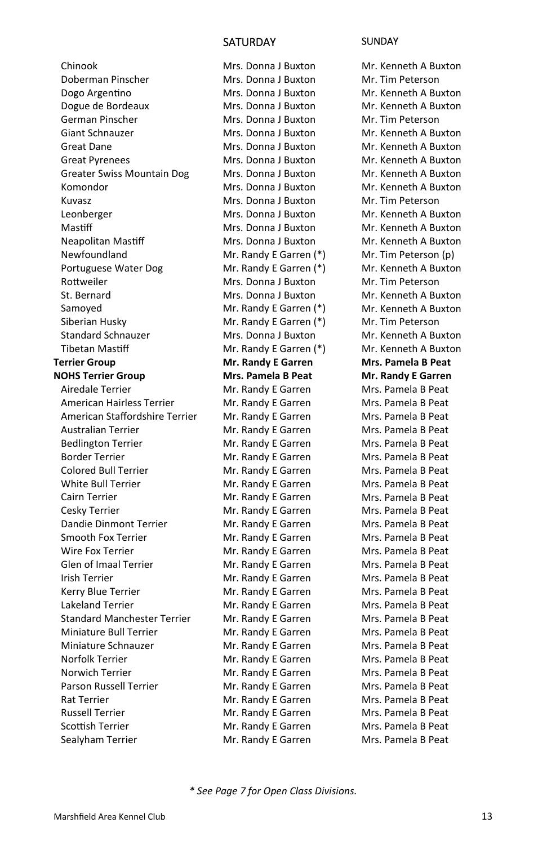#### SATURDAY SUNDAY

 Chinook Doberman Pinscher Dogo Argentino Dogue de Bordeaux German Pinscher Giant Schnauzer Great Dane Great Pyrenees Greater Swiss Mountain Dog Komondor Kuvasz Leonberger Mastiff Neapolitan Mastiff Newfoundland Portuguese Water Dog Rottweiler St. Bernard Samoyed Siberian Husky Standard Schnauzer **Tibetan Mastiff Terrier Group NOHS Terrier Group**  Airedale Terrier American Hairless Terrier American Staffordshire Terrier Australian Terrier Bedlington Terrier Border Terrier Colored Bull Terrier White Bull Terrier Cairn Terrier Cesky Terrier Dandie Dinmont Terrier Smooth Fox Terrier Wire Fox Terrier Glen of Imaal Terrier Irish Terrier Kerry Blue Terrier Lakeland Terrier Standard Manchester Terrier Miniature Bull Terrier Miniature Schnauzer Norfolk Terrier Norwich Terrier Parson Russell Terrier Rat Terrier Russell Terrier Scottish Terrier Sealyham Terrier

Mrs. Donna J Buxton Mrs. Donna J Buxton Mrs. Donna J Buxton Mrs. Donna J Buxton Mrs. Donna J Buxton Mrs. Donna J Buxton Mrs. Donna J Buxton Mrs. Donna J Buxton Mrs. Donna J Buxton Mrs. Donna J Buxton Mrs. Donna J Buxton Mrs. Donna J Buxton Mrs. Donna J Buxton Mrs. Donna J Buxton Mr. Randy E Garren (\*) Mr. Randy E Garren (\*) Mrs. Donna J Buxton Mrs. Donna J Buxton Mr. Randy E Garren (\*) Mr. Randy E Garren (\*) Mrs. Donna J Buxton Mr. Randy E Garren (\*) **Mr. Randy E Garren Mrs. Pamela B Peat**  Mr. Randy E Garren Mr. Randy E Garren Mr. Randy E Garren Mr. Randy E Garren Mr. Randy E Garren Mr. Randy E Garren Mr. Randy E Garren Mr. Randy E Garren Mr. Randy E Garren Mr. Randy E Garren Mr. Randy E Garren Mr. Randy E Garren Mr. Randy E Garren Mr. Randy E Garren Mr. Randy E Garren Mr. Randy E Garren Mr. Randy E Garren Mr. Randy E Garren Mr. Randy E Garren Mr. Randy E Garren Mr. Randy E Garren Mr. Randy E Garren Mr. Randy E Garren Mr. Randy E Garren Mr. Randy E Garren Mr. Randy E Garren Mr. Randy E Garren

Mr. Kenneth A Buxton Mr. Tim Peterson Mr. Kenneth A Buxton Mr. Kenneth A Buxton Mr. Tim Peterson Mr. Kenneth A Buxton Mr. Kenneth A Buxton Mr. Kenneth A Buxton Mr. Kenneth A Buxton Mr. Kenneth A Buxton Mr. Tim Peterson Mr. Kenneth A Buxton Mr. Kenneth A Buxton Mr. Kenneth A Buxton Mr. Tim Peterson (p) Mr. Kenneth A Buxton Mr. Tim Peterson Mr. Kenneth A Buxton Mr. Kenneth A Buxton Mr. Tim Peterson Mr. Kenneth A Buxton Mr. Kenneth A Buxton **Mrs. Pamela B Peat Mr. Randy E Garren**  Mrs. Pamela B Peat Mrs. Pamela B Peat Mrs. Pamela B Peat Mrs. Pamela B Peat Mrs. Pamela B Peat Mrs. Pamela B Peat Mrs. Pamela B Peat Mrs. Pamela B Peat Mrs. Pamela B Peat Mrs. Pamela B Peat Mrs. Pamela B Peat Mrs. Pamela B Peat Mrs. Pamela B Peat Mrs. Pamela B Peat Mrs. Pamela B Peat Mrs. Pamela B Peat Mrs. Pamela B Peat Mrs. Pamela B Peat Mrs. Pamela B Peat Mrs. Pamela B Peat Mrs. Pamela B Peat Mrs. Pamela B Peat Mrs. Pamela B Peat Mrs. Pamela B Peat Mrs. Pamela B Peat Mrs. Pamela B Peat Mrs. Pamela B Peat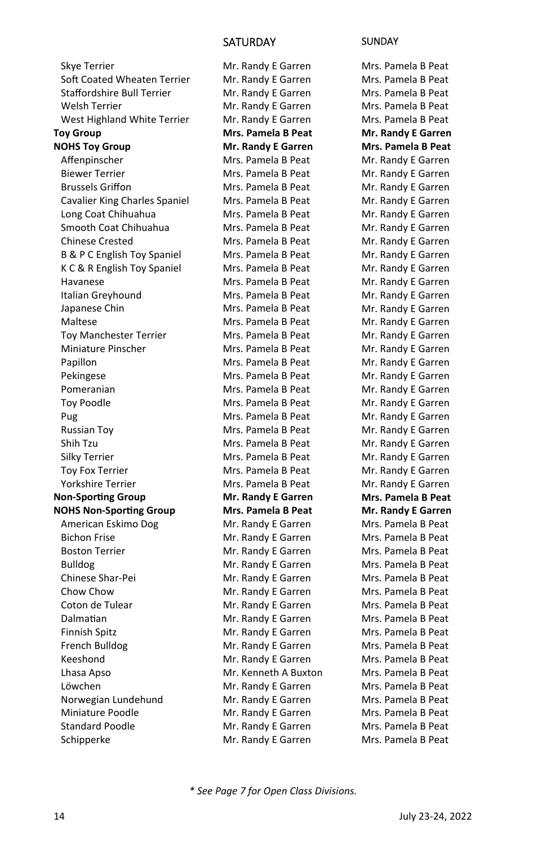#### SATURDAY SUNDAY

 Skye Terrier Soft Coated Wheaten Terrier Staffordshire Bull Terrier Welsh Terrier West Highland White Terrier **Toy Group NOHS Toy Group**  Affenpinscher Biewer Terrier Brussels Griffon Cavalier King Charles Spaniel Long Coat Chihuahua Smooth Coat Chihuahua Chinese Crested B & P C English Toy Spaniel K C & R English Toy Spaniel Havanese Italian Greyhound Japanese Chin Maltese Toy Manchester Terrier Miniature Pinscher Papillon Pekingese Pomeranian Toy Poodle Pug Russian Toy Shih Tzu Silky Terrier Toy Fox Terrier Yorkshire Terrier **Non-Sporting Group NOHS Non-SporƟng Group**  American Eskimo Dog Bichon Frise Boston Terrier Bulldog Chinese Shar-Pei Chow Chow Coton de Tulear **Dalmatian**  Finnish Spitz French Bulldog Keeshond Lhasa Apso Löwchen Norwegian Lundehund Miniature Poodle Standard Poodle Schipperke

Mr. Randy E Garren Mr. Randy E Garren Mr. Randy E Garren Mr. Randy E Garren Mr. Randy E Garren **Mrs. Pamela B Peat Mr. Randy E Garren**  Mrs. Pamela B Peat Mrs. Pamela B Peat Mrs. Pamela B Peat Mrs. Pamela B Peat Mrs. Pamela B Peat Mrs. Pamela B Peat Mrs. Pamela B Peat Mrs. Pamela B Peat Mrs. Pamela B Peat Mrs. Pamela B Peat Mrs. Pamela B Peat Mrs. Pamela B Peat Mrs. Pamela B Peat Mrs. Pamela B Peat Mrs. Pamela B Peat Mrs. Pamela B Peat Mrs. Pamela B Peat Mrs. Pamela B Peat Mrs. Pamela B Peat Mrs. Pamela B Peat Mrs. Pamela B Peat Mrs. Pamela B Peat Mrs. Pamela B Peat Mrs. Pamela B Peat Mrs. Pamela B Peat **Mr. Randy E Garren Mrs. Pamela B Peat**  Mr. Randy E Garren Mr. Randy E Garren Mr. Randy E Garren Mr. Randy E Garren Mr. Randy E Garren Mr. Randy E Garren Mr. Randy E Garren Mr. Randy E Garren Mr. Randy E Garren Mr. Randy E Garren Mr. Randy E Garren Mr. Kenneth A Buxton Mr. Randy E Garren Mr. Randy E Garren Mr. Randy E Garren Mr. Randy E Garren Mr. Randy E Garren

Mrs. Pamela B Peat Mrs. Pamela B Peat Mrs. Pamela B Peat Mrs. Pamela B Peat Mrs. Pamela B Peat **Mr. Randy E Garren Mrs. Pamela B Peat**  Mr. Randy E Garren Mr. Randy E Garren Mr. Randy E Garren Mr. Randy E Garren Mr. Randy E Garren Mr. Randy E Garren Mr. Randy E Garren Mr. Randy E Garren Mr. Randy E Garren Mr. Randy E Garren Mr. Randy E Garren Mr. Randy E Garren Mr. Randy E Garren Mr. Randy E Garren Mr. Randy E Garren Mr. Randy E Garren Mr. Randy E Garren Mr. Randy E Garren Mr. Randy E Garren Mr. Randy E Garren Mr. Randy E Garren Mr. Randy E Garren Mr. Randy E Garren Mr. Randy E Garren Mr. Randy E Garren **Mrs. Pamela B Peat Mr. Randy E Garren**  Mrs. Pamela B Peat Mrs. Pamela B Peat Mrs. Pamela B Peat Mrs. Pamela B Peat Mrs. Pamela B Peat Mrs. Pamela B Peat Mrs. Pamela B Peat Mrs. Pamela B Peat Mrs. Pamela B Peat Mrs. Pamela B Peat Mrs. Pamela B Peat Mrs. Pamela B Peat Mrs. Pamela B Peat Mrs. Pamela B Peat Mrs. Pamela B Peat Mrs. Pamela B Peat Mrs. Pamela B Peat

*\* See Page 7 for Open Class Divisions.*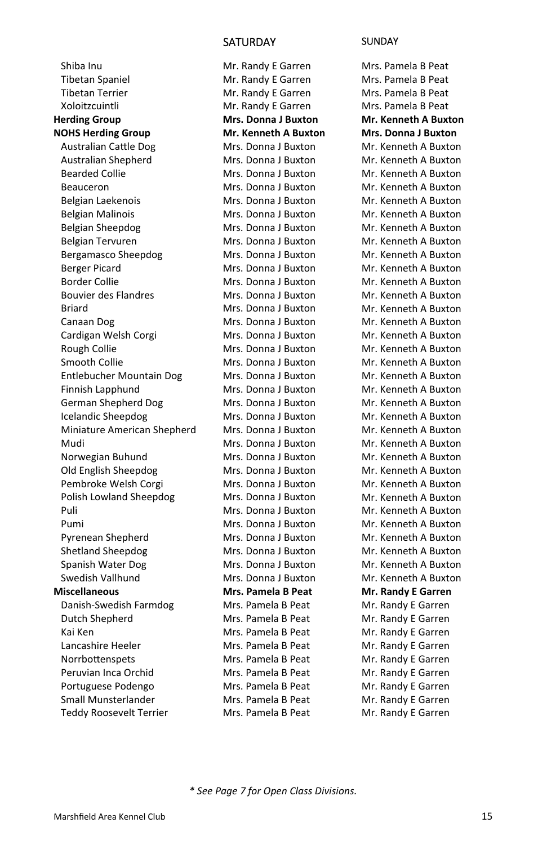Shiba Inu Tibetan Spaniel Tibetan Terrier Xoloitzcuintli **Herding Group NOHS Herding Group**  Australian CaƩle Dog Australian Shepherd Bearded Collie Beauceron Belgian Laekenois Belgian Malinois Belgian Sheepdog Belgian Tervuren Bergamasco Sheepdog Berger Picard Border Collie Bouvier des Flandres Briard Canaan Dog Cardigan Welsh Corgi Rough Collie Smooth Collie Entlebucher Mountain Dog Finnish Lapphund German Shepherd Dog Icelandic Sheepdog Miniature American Shepherd Mudi Norwegian Buhund Old English Sheepdog Pembroke Welsh Corgi Polish Lowland Sheepdog Puli Pumi Pyrenean Shepherd Shetland Sheepdog Spanish Water Dog Swedish Vallhund **Miscellaneous**  Danish-Swedish Farmdog Dutch Shepherd Kai Ken Lancashire Heeler **Norrbottenspets**  Peruvian Inca Orchid Portuguese Podengo Small Munsterlander Teddy Roosevelt Terrier

Mr. Randy E Garren Mr. Randy E Garren Mr. Randy E Garren Mr. Randy E Garren **Mrs. Donna J Buxton Mr. Kenneth A Buxton**  Mrs. Donna J Buxton Mrs. Donna J Buxton Mrs. Donna J Buxton Mrs. Donna J Buxton Mrs. Donna J Buxton Mrs. Donna J Buxton Mrs. Donna J Buxton Mrs. Donna J Buxton Mrs. Donna J Buxton Mrs. Donna J Buxton Mrs. Donna J Buxton Mrs. Donna J Buxton Mrs. Donna J Buxton Mrs. Donna J Buxton Mrs. Donna J Buxton Mrs. Donna J Buxton Mrs. Donna J Buxton Mrs. Donna J Buxton Mrs. Donna J Buxton Mrs. Donna J Buxton Mrs. Donna J Buxton Mrs. Donna J Buxton Mrs. Donna J Buxton Mrs. Donna J Buxton Mrs. Donna J Buxton Mrs. Donna J Buxton Mrs. Donna J Buxton Mrs. Donna J Buxton Mrs. Donna J Buxton Mrs. Donna J Buxton Mrs. Donna J Buxton Mrs. Donna J Buxton Mrs. Donna J Buxton **Mrs. Pamela B Peat**  Mrs. Pamela B Peat Mrs. Pamela B Peat Mrs. Pamela B Peat Mrs. Pamela B Peat Mrs. Pamela B Peat Mrs. Pamela B Peat Mrs. Pamela B Peat Mrs. Pamela B Peat Mrs. Pamela B Peat

#### SATURDAY SUNDAY

Mrs. Pamela B Peat Mrs. Pamela B Peat Mrs. Pamela B Peat Mrs. Pamela B Peat **Mr. Kenneth A Buxton Mrs. Donna J Buxton**  Mr. Kenneth A Buxton Mr. Kenneth A Buxton Mr. Kenneth A Buxton Mr. Kenneth A Buxton Mr. Kenneth A Buxton Mr. Kenneth A Buxton Mr. Kenneth A Buxton Mr. Kenneth A Buxton Mr. Kenneth A Buxton Mr. Kenneth A Buxton Mr. Kenneth A Buxton Mr. Kenneth A Buxton Mr. Kenneth A Buxton Mr. Kenneth A Buxton Mr. Kenneth A Buxton Mr. Kenneth A Buxton Mr. Kenneth A Buxton Mr. Kenneth A Buxton Mr. Kenneth A Buxton Mr. Kenneth A Buxton Mr. Kenneth A Buxton Mr. Kenneth A Buxton Mr. Kenneth A Buxton Mr. Kenneth A Buxton Mr. Kenneth A Buxton Mr. Kenneth A Buxton Mr. Kenneth A Buxton Mr. Kenneth A Buxton Mr. Kenneth A Buxton Mr. Kenneth A Buxton Mr. Kenneth A Buxton Mr. Kenneth A Buxton Mr. Kenneth A Buxton **Mr. Randy E Garren**  Mr. Randy E Garren Mr. Randy E Garren Mr. Randy E Garren Mr. Randy E Garren Mr. Randy E Garren Mr. Randy E Garren Mr. Randy E Garren Mr. Randy E Garren Mr. Randy E Garren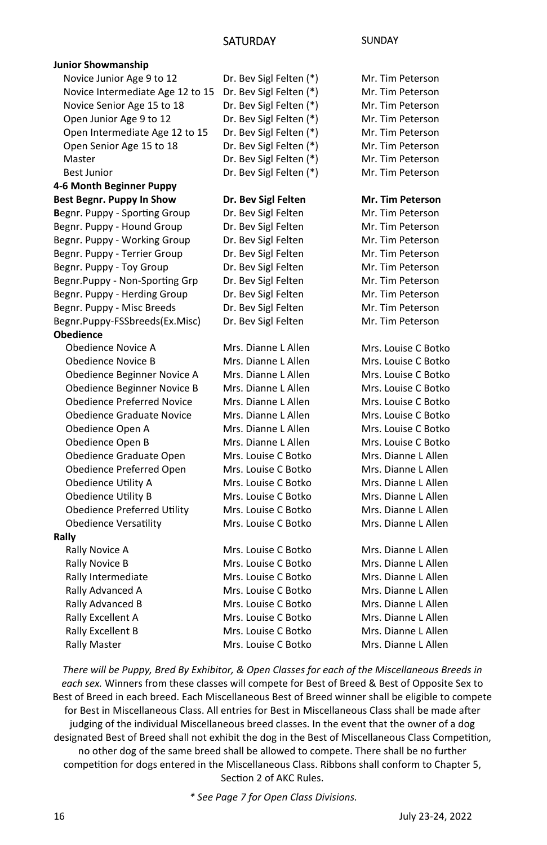| <b>Junior Showmanship</b>         |                         |                         |
|-----------------------------------|-------------------------|-------------------------|
| Novice Junior Age 9 to 12         | Dr. Bev Sigl Felten (*) | Mr. Tim Peterson        |
| Novice Intermediate Age 12 to 15  | Dr. Bev Sigl Felten (*) | Mr. Tim Peterson        |
| Novice Senior Age 15 to 18        | Dr. Bev Sigl Felten (*) | Mr. Tim Peterson        |
| Open Junior Age 9 to 12           | Dr. Bev Sigl Felten (*) | Mr. Tim Peterson        |
| Open Intermediate Age 12 to 15    | Dr. Bev Sigl Felten (*) | Mr. Tim Peterson        |
| Open Senior Age 15 to 18          | Dr. Bev Sigl Felten (*) | Mr. Tim Peterson        |
| Master                            | Dr. Bev Sigl Felten (*) | Mr. Tim Peterson        |
| <b>Best Junior</b>                | Dr. Bev Sigl Felten (*) | Mr. Tim Peterson        |
| 4-6 Month Beginner Puppy          |                         |                         |
| Best Begnr. Puppy In Show         | Dr. Bev Sigl Felten     | <b>Mr. Tim Peterson</b> |
| Begnr. Puppy - Sporting Group     | Dr. Bev Sigl Felten     | Mr. Tim Peterson        |
| Begnr. Puppy - Hound Group        | Dr. Bev Sigl Felten     | Mr. Tim Peterson        |
| Begnr. Puppy - Working Group      | Dr. Bev Sigl Felten     | Mr. Tim Peterson        |
| Begnr. Puppy - Terrier Group      | Dr. Bev Sigl Felten     | Mr. Tim Peterson        |
| Begnr. Puppy - Toy Group          | Dr. Bev Sigl Felten     | Mr. Tim Peterson        |
| Begnr.Puppy - Non-Sporting Grp    | Dr. Bev Sigl Felten     | Mr. Tim Peterson        |
| Begnr. Puppy - Herding Group      | Dr. Bev Sigl Felten     | Mr. Tim Peterson        |
| Begnr. Puppy - Misc Breeds        | Dr. Bev Sigl Felten     | Mr. Tim Peterson        |
| Begnr.Puppy-FSSbreeds(Ex.Misc)    | Dr. Bev Sigl Felten     | Mr. Tim Peterson        |
| <b>Obedience</b>                  |                         |                         |
| Obedience Novice A                | Mrs. Dianne L Allen     | Mrs. Louise C Botko     |
| <b>Obedience Novice B</b>         | Mrs. Dianne L Allen     | Mrs. Louise C Botko     |
| Obedience Beginner Novice A       | Mrs. Dianne L Allen     | Mrs. Louise C Botko     |
| Obedience Beginner Novice B       | Mrs. Dianne L Allen     | Mrs. Louise C Botko     |
| <b>Obedience Preferred Novice</b> | Mrs. Dianne L Allen     | Mrs. Louise C Botko     |
| <b>Obedience Graduate Novice</b>  | Mrs. Dianne L Allen     | Mrs. Louise C Botko     |
| Obedience Open A                  | Mrs. Dianne L Allen     | Mrs. Louise C Botko     |
| Obedience Open B                  | Mrs. Dianne L Allen     | Mrs. Louise C Botko     |
| Obedience Graduate Open           | Mrs. Louise C Botko     | Mrs. Dianne L Allen     |
| Obedience Preferred Open          | Mrs. Louise C Botko     | Mrs. Dianne L Allen     |
| Obedience Utility A               | Mrs. Louise C Botko     | Mrs. Dianne L Allen     |
| <b>Obedience Utility B</b>        | Mrs. Louise C Botko     | Mrs. Dianne L Allen     |
| Obedience Preferred Utility       | Mrs. Louise C Botko     | Mrs. Dianne L Allen     |
| <b>Obedience Versatility</b>      | Mrs. Louise C Botko     | Mrs. Dianne L Allen     |
| Rally                             |                         |                         |
| Rally Novice A                    | Mrs. Louise C Botko     | Mrs. Dianne L Allen     |
| Rally Novice B                    | Mrs. Louise C Botko     | Mrs. Dianne L Allen     |
| Rally Intermediate                | Mrs. Louise C Botko     | Mrs. Dianne L Allen     |
| Rally Advanced A                  | Mrs. Louise C Botko     | Mrs. Dianne L Allen     |
| Rally Advanced B                  | Mrs. Louise C Botko     | Mrs. Dianne L Allen     |
| Rally Excellent A                 | Mrs. Louise C Botko     | Mrs. Dianne L Allen     |
| Rally Excellent B                 | Mrs. Louise C Botko     | Mrs. Dianne L Allen     |
| <b>Rally Master</b>               | Mrs. Louise C Botko     | Mrs. Dianne L Allen     |

*There will be Puppy, Bred By Exhibitor, & Open Classes for each of the Miscellaneous Breeds in each sex.* Winners from these classes will compete for Best of Breed & Best of Opposite Sex to Best of Breed in each breed. Each Miscellaneous Best of Breed winner shall be eligible to compete for Best in Miscellaneous Class. All entries for Best in Miscellaneous Class shall be made after judging of the individual Miscellaneous breed classes. In the event that the owner of a dog designated Best of Breed shall not exhibit the dog in the Best of Miscellaneous Class Competition, no other dog of the same breed shall be allowed to compete. There shall be no further competition for dogs entered in the Miscellaneous Class. Ribbons shall conform to Chapter 5, Section 2 of AKC Rules.

*\* See Page 7 for Open Class Divisions.*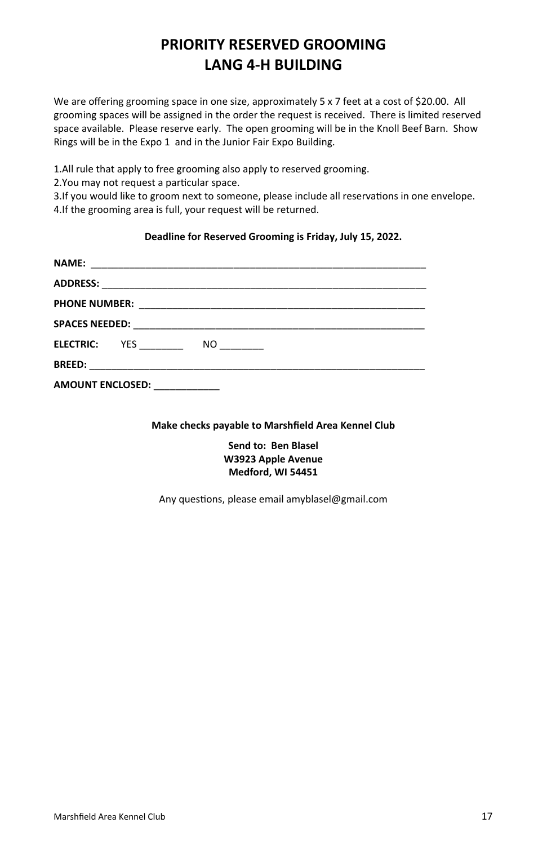### **PRIORITY RESERVED GROOMING LANG 4-H BUILDING**

We are offering grooming space in one size, approximately 5 x 7 feet at a cost of \$20.00. All grooming spaces will be assigned in the order the request is received. There is limited reserved space available. Please reserve early. The open grooming will be in the Knoll Beef Barn. Show Rings will be in the Expo 1 and in the Junior Fair Expo Building.

1.All rule that apply to free grooming also apply to reserved grooming.

2. You may not request a particular space.

3.If you would like to groom next to someone, please include all reservations in one envelope. 4.If the grooming area is full, your request will be returned.

#### **Deadline for Reserved Grooming is Friday, July 15, 2022.**

| <b>ELECTRIC:</b> YES<br>NO |
|----------------------------|
|                            |
| <b>AMOUNT ENCLOSED:</b>    |

**Make checks payable to Marshfield Area Kennel Club** 

**Send to: Ben Blasel W3923 Apple Avenue Medford, WI 54451** 

Any questions, please email amyblasel@gmail.com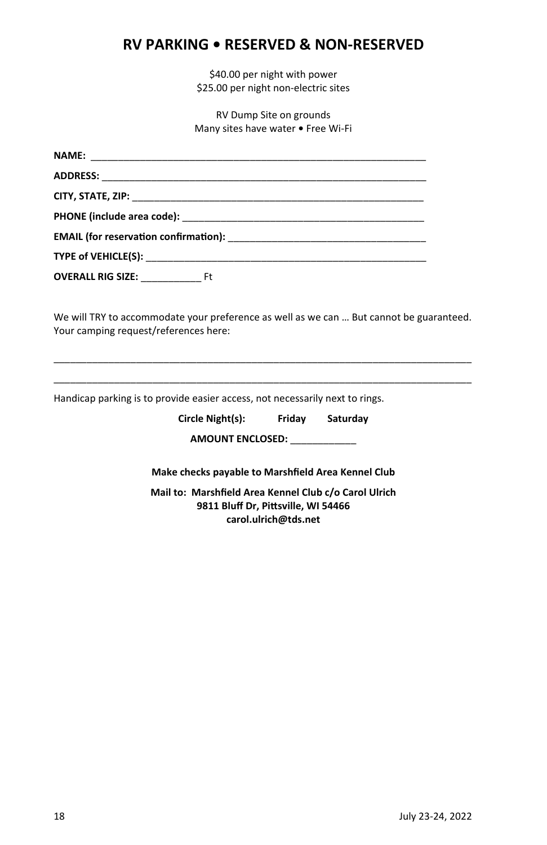#### **RV PARKING • RESERVED & NON-RESERVED**

\$40.00 per night with power \$25.00 per night non-electric sites

RV Dump Site on grounds Many sites have water **•** Free Wi-Fi

| OVERALL RIG SIZE: Ft |  |
|----------------------|--|

We will TRY to accommodate your preference as well as we can … But cannot be guaranteed. Your camping request/references here:

\_\_\_\_\_\_\_\_\_\_\_\_\_\_\_\_\_\_\_\_\_\_\_\_\_\_\_\_\_\_\_\_\_\_\_\_\_\_\_\_\_\_\_\_\_\_\_\_\_\_\_\_\_\_\_\_\_\_\_\_\_\_\_\_\_\_\_\_\_\_\_\_\_\_\_\_ \_\_\_\_\_\_\_\_\_\_\_\_\_\_\_\_\_\_\_\_\_\_\_\_\_\_\_\_\_\_\_\_\_\_\_\_\_\_\_\_\_\_\_\_\_\_\_\_\_\_\_\_\_\_\_\_\_\_\_\_\_\_\_\_\_\_\_\_\_\_\_\_\_\_\_\_

Handicap parking is to provide easier access, not necessarily next to rings.

| Circle Night(s): | Friday | Saturday |
|------------------|--------|----------|
|                  |        |          |

**AMOUNT ENCLOSED:** \_\_\_\_\_\_\_\_\_\_\_\_

**Make checks payable to Marshfield Area Kennel Club** 

**Mail to: Marshfield Area Kennel Club c/o Carol Ulrich 9811 Bluff Dr, PiƩsville, WI 54466 carol.ulrich@tds.net**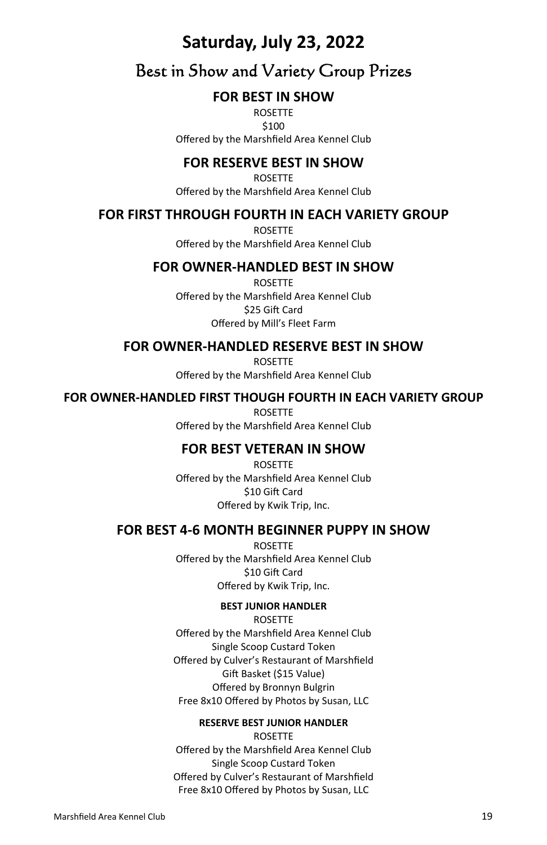### **Saturday, July 23, 2022**

### Best in Show and Variety Group Prizes

#### **FOR BEST IN SHOW**

ROSETTE \$100 Offered by the Marshfield Area Kennel Club

#### **FOR RESERVE BEST IN SHOW**

ROSETTE Offered by the Marshfield Area Kennel Club

#### **FOR FIRST THROUGH FOURTH IN EACH VARIETY GROUP**

ROSETTE Offered by the Marshfield Area Kennel Club

#### **FOR OWNER-HANDLED BEST IN SHOW**

ROSETTE Offered by the Marshfield Area Kennel Club \$25 Gift Card Offered by Mill's Fleet Farm

#### **FOR OWNER-HANDLED RESERVE BEST IN SHOW**

ROSETTE Offered by the Marshfield Area Kennel Club

#### **FOR OWNER-HANDLED FIRST THOUGH FOURTH IN EACH VARIETY GROUP**

ROSETTE Offered by the Marshfield Area Kennel Club

#### **FOR BEST VETERAN IN SHOW**

ROSETTE Offered by the Marshfield Area Kennel Club \$10 Gift Card Offered by Kwik Trip, Inc.

#### **FOR BEST 4-6 MONTH BEGINNER PUPPY IN SHOW**

ROSETTE Offered by the Marshfield Area Kennel Club \$10 Gift Card Offered by Kwik Trip, Inc.

#### **BEST JUNIOR HANDLER**

ROSETTE Offered by the Marshfield Area Kennel Club Single Scoop Custard Token Offered by Culver's Restaurant of Marshfield Gift Basket (\$15 Value) Offered by Bronnyn Bulgrin Free 8x10 Offered by Photos by Susan, LLC

#### **RESERVE BEST JUNIOR HANDLER**

ROSETTE Offered by the Marshfield Area Kennel Club Single Scoop Custard Token Offered by Culver's Restaurant of Marshfield Free 8x10 Offered by Photos by Susan, LLC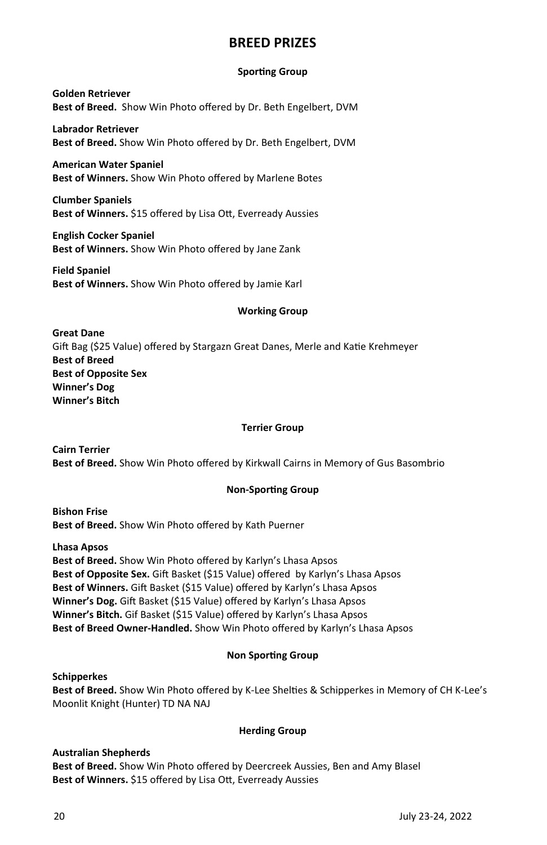#### **BREED PRIZES**

#### **Sporting Group**

**Golden Retriever Best of Breed.** Show Win Photo offered by Dr. Beth Engelbert, DVM

**Labrador Retriever Best of Breed.** Show Win Photo offered by Dr. Beth Engelbert, DVM

**American Water Spaniel Best of Winners.** Show Win Photo offered by Marlene Botes

**Clumber Spaniels**  Best of Winners. \$15 offered by Lisa Ott, Everready Aussies

**English Cocker Spaniel Best of Winners.** Show Win Photo offered by Jane Zank

**Field Spaniel Best of Winners.** Show Win Photo offered by Jamie Karl

#### **Working Group**

**Great Dane** Gift Bag (\$25 Value) offered by Stargazn Great Danes, Merle and Katie Krehmeyer **Best of Breed Best of Opposite Sex Winner's Dog Winner's Bitch** 

#### **Terrier Group**

**Cairn Terrier Best of Breed.** Show Win Photo offered by Kirkwall Cairns in Memory of Gus Basombrio

#### **Non-Sporting Group**

**Bishon Frise Best of Breed.** Show Win Photo offered by Kath Puerner

**Lhasa Apsos** 

**Best of Breed.** Show Win Photo offered by Karlyn's Lhasa Apsos Best of Opposite Sex. Gift Basket (\$15 Value) offered by Karlyn's Lhasa Apsos Best of Winners. Gift Basket (\$15 Value) offered by Karlyn's Lhasa Apsos Winner's Dog. Gift Basket (\$15 Value) offered by Karlyn's Lhasa Apsos **Winner's Bitch.** Gif Basket (\$15 Value) offered by Karlyn's Lhasa Apsos **Best of Breed Owner-Handled.** Show Win Photo offered by Karlyn's Lhasa Apsos

#### **Non Sporting Group**

**Schipperkes** Best of Breed. Show Win Photo offered by K-Lee Shelties & Schipperkes in Memory of CH K-Lee's Moonlit Knight (Hunter) TD NA NAJ

#### **Herding Group**

#### **Australian Shepherds**

**Best of Breed.** Show Win Photo offered by Deercreek Aussies, Ben and Amy Blasel Best of Winners. \$15 offered by Lisa Ott, Everready Aussies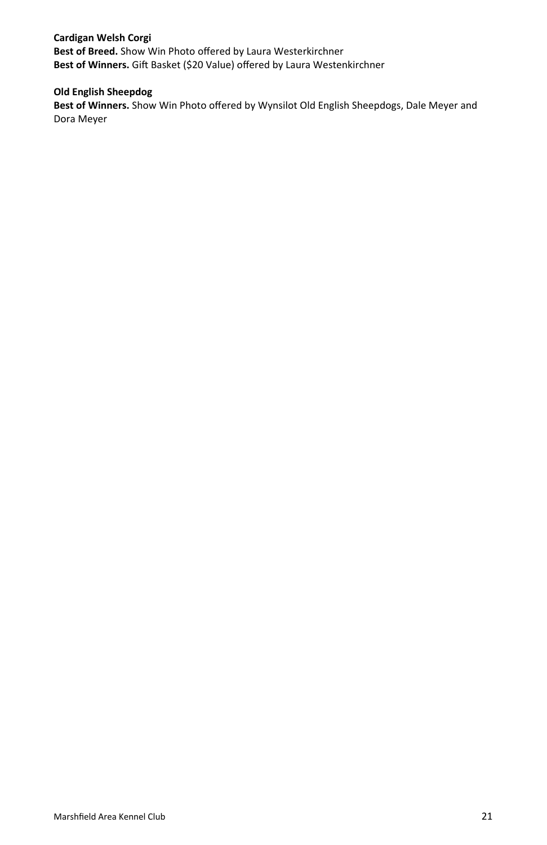#### **Cardigan Welsh Corgi Best of Breed.** Show Win Photo offered by Laura Westerkirchner Best of Winners. Gift Basket (\$20 Value) offered by Laura Westenkirchner

#### **Old English Sheepdog**

**Best of Winners.** Show Win Photo offered by Wynsilot Old English Sheepdogs, Dale Meyer and Dora Meyer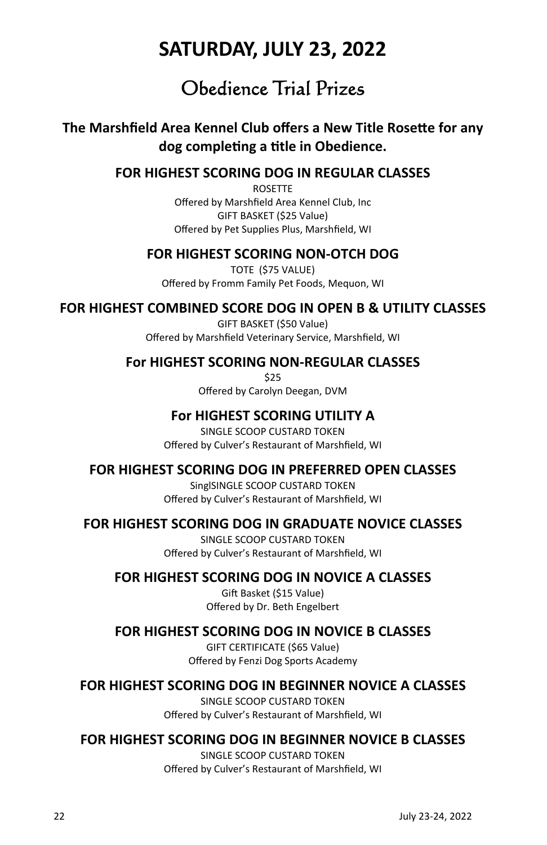### **SATURDAY, JULY 23, 2022**

### Obedience Trial Prizes

#### **The Marshfield Area Kennel Club offers a New Title Rosette for any dog compleƟng a Ɵtle in Obedience.**

#### **FOR HIGHEST SCORING DOG IN REGULAR CLASSES**

ROSETTE Offered by Marshfield Area Kennel Club, Inc GIFT BASKET (\$25 Value) Offered by Pet Supplies Plus, Marshfield, WI

#### **FOR HIGHEST SCORING NON-OTCH DOG**

TOTE (\$75 VALUE) Offered by Fromm Family Pet Foods, Mequon, WI

#### **FOR HIGHEST COMBINED SCORE DOG IN OPEN B & UTILITY CLASSES**

GIFT BASKET (\$50 Value) Offered by Marshfield Veterinary Service, Marshfield, WI

#### **For HIGHEST SCORING NON-REGULAR CLASSES**

\$25 Offered by Carolyn Deegan, DVM

#### **For HIGHEST SCORING UTILITY A**

SINGLE SCOOP CUSTARD TOKEN Offered by Culver's Restaurant of Marshfield, WI

#### **FOR HIGHEST SCORING DOG IN PREFERRED OPEN CLASSES**

SinglSINGLE SCOOP CUSTARD TOKEN Offered by Culver's Restaurant of Marshfield, WI

#### **FOR HIGHEST SCORING DOG IN GRADUATE NOVICE CLASSES**

SINGLE SCOOP CUSTARD TOKEN Offered by Culver's Restaurant of Marshfield, WI

#### **FOR HIGHEST SCORING DOG IN NOVICE A CLASSES**

Gift Basket (\$15 Value) Offered by Dr. Beth Engelbert

#### **FOR HIGHEST SCORING DOG IN NOVICE B CLASSES**

GIFT CERTIFICATE (\$65 Value) Offered by Fenzi Dog Sports Academy

#### **FOR HIGHEST SCORING DOG IN BEGINNER NOVICE A CLASSES**

SINGLE SCOOP CUSTARD TOKEN Offered by Culver's Restaurant of Marshfield, WI

#### **FOR HIGHEST SCORING DOG IN BEGINNER NOVICE B CLASSES**

SINGLE SCOOP CUSTARD TOKEN Offered by Culver's Restaurant of Marshfield, WI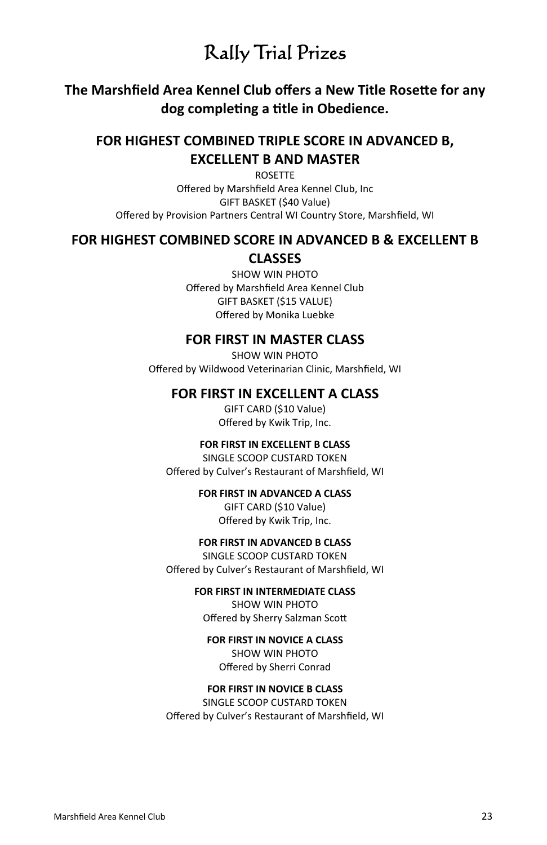### Rally Trial Prizes

#### **The Marshfield Area Kennel Club offers a New Title Rosette for any dog compleƟng a Ɵtle in Obedience.**

#### **FOR HIGHEST COMBINED TRIPLE SCORE IN ADVANCED B, EXCELLENT B AND MASTER**

ROSETTE

Offered by Marshfield Area Kennel Club, Inc GIFT BASKET (\$40 Value) Offered by Provision Partners Central WI Country Store, Marshfield, WI

#### **FOR HIGHEST COMBINED SCORE IN ADVANCED B & EXCELLENT B CLASSES**

SHOW WIN PHOTO Offered by Marshfield Area Kennel Club GIFT BASKET (\$15 VALUE) Offered by Monika Luebke

#### **FOR FIRST IN MASTER CLASS**

SHOW WIN PHOTO Offered by Wildwood Veterinarian Clinic, Marshfield, WI

#### **FOR FIRST IN EXCELLENT A CLASS**

GIFT CARD (\$10 Value) Offered by Kwik Trip, Inc.

#### **FOR FIRST IN EXCELLENT B CLASS**

SINGLE SCOOP CUSTARD TOKEN Offered by Culver's Restaurant of Marshfield, WI

#### **FOR FIRST IN ADVANCED A CLASS**

GIFT CARD (\$10 Value) Offered by Kwik Trip, Inc.

#### **FOR FIRST IN ADVANCED B CLASS**

SINGLE SCOOP CUSTARD TOKEN Offered by Culver's Restaurant of Marshfield, WI

#### **FOR FIRST IN INTERMEDIATE CLASS**

SHOW WIN PHOTO Offered by Sherry Salzman Scott

#### **FOR FIRST IN NOVICE A CLASS**

SHOW WIN PHOTO Offered by Sherri Conrad

#### **FOR FIRST IN NOVICE B CLASS**

SINGLE SCOOP CUSTARD TOKEN Offered by Culver's Restaurant of Marshfield, WI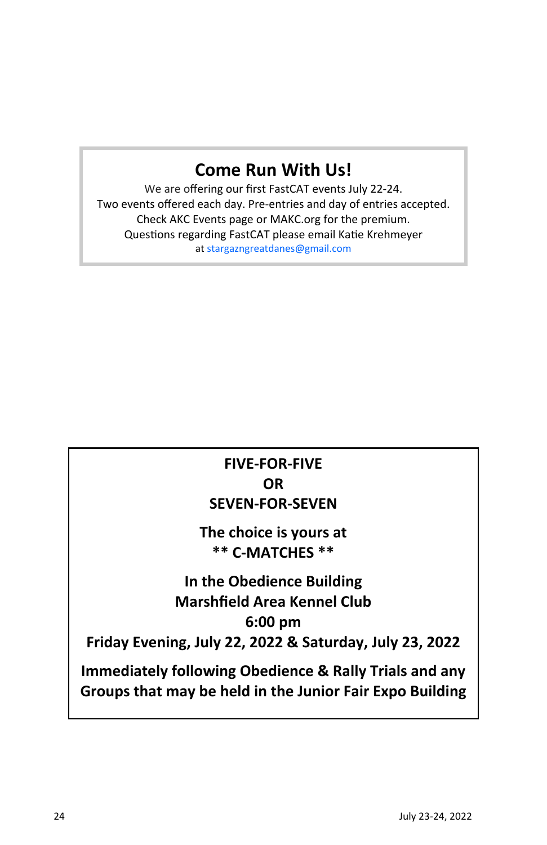### **Come Run With Us!**

We are offering our first FastCAT events July 22-24. Two events offered each day. Pre-entries and day of entries accepted. Check AKC Events page or MAKC.org for the premium. Questions regarding FastCAT please email Katie Krehmeyer at stargazngreatdanes@gmail.com

### **FIVE-FOR-FIVE OR SEVEN-FOR-SEVEN**

**The choice is yours at \*\* C-MATCHES \*\*** 

### **In the Obedience Building Marshfield Area Kennel Club 6:00 pm**

**Friday Evening, July 22, 2022 & Saturday, July 23, 2022** 

**Immediately following Obedience & Rally Trials and any Groups that may be held in the Junior Fair Expo Building**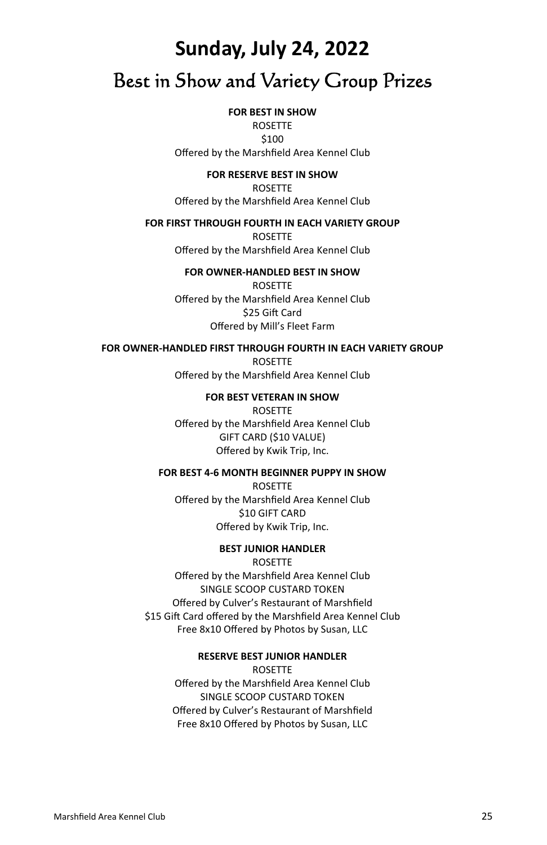## **Sunday, July 24, 2022**  Best in Show and Variety Group Prizes

#### **FOR BEST IN SHOW**

ROSETTE \$100 Offered by the Marshfield Area Kennel Club

**FOR RESERVE BEST IN SHOW** 

ROSETTE Offered by the Marshfield Area Kennel Club

#### **FOR FIRST THROUGH FOURTH IN EACH VARIETY GROUP**

ROSETTE Offered by the Marshfield Area Kennel Club

#### **FOR OWNER-HANDLED BEST IN SHOW**

ROSETTE Offered by the Marshfield Area Kennel Club \$25 Gift Card Offered by Mill's Fleet Farm

#### **FOR OWNER-HANDLED FIRST THROUGH FOURTH IN EACH VARIETY GROUP**

ROSETTE Offered by the Marshfield Area Kennel Club

> **FOR BEST VETERAN IN SHOW**  ROSETTE

Offered by the Marshfield Area Kennel Club GIFT CARD (\$10 VALUE) Offered by Kwik Trip, Inc.

#### **FOR BEST 4-6 MONTH BEGINNER PUPPY IN SHOW**

ROSETTE Offered by the Marshfield Area Kennel Club \$10 GIFT CARD Offered by Kwik Trip, Inc.

#### **BEST JUNIOR HANDLER**

ROSETTE Offered by the Marshfield Area Kennel Club SINGLE SCOOP CUSTARD TOKEN Offered by Culver's Restaurant of Marshfield \$15 Gift Card offered by the Marshfield Area Kennel Club Free 8x10 Offered by Photos by Susan, LLC

> **RESERVE BEST JUNIOR HANDLER**  ROSETTE

Offered by the Marshfield Area Kennel Club SINGLE SCOOP CUSTARD TOKEN Offered by Culver's Restaurant of Marshfield Free 8x10 Offered by Photos by Susan, LLC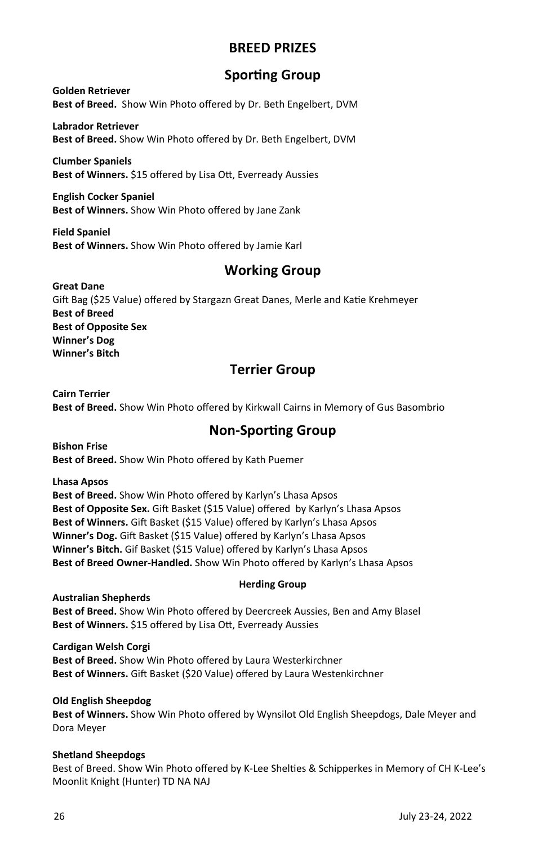#### **BREED PRIZES**

#### **Sporting Group**

**Golden Retriever Best of Breed.** Show Win Photo offered by Dr. Beth Engelbert, DVM

**Labrador Retriever Best of Breed.** Show Win Photo offered by Dr. Beth Engelbert, DVM

**Clumber Spaniels Best of Winners.** \$15 offered by Lisa Ott, Everready Aussies

**English Cocker Spaniel Best of Winners.** Show Win Photo offered by Jane Zank

**Field Spaniel Best of Winners.** Show Win Photo offered by Jamie Karl

#### **Working Group**

**Great Dane**  Gift Bag (\$25 Value) offered by Stargazn Great Danes, Merle and Katie Krehmeyer **Best of Breed Best of Opposite Sex Winner's Dog Winner's Bitch**

#### **Terrier Group**

**Cairn Terrier Best of Breed.** Show Win Photo offered by Kirkwall Cairns in Memory of Gus Basombrio

#### **Non-Sporting Group**

**Bishon Frise Best of Breed.** Show Win Photo offered by Kath Puemer

**Lhasa Apsos Best of Breed.** Show Win Photo offered by Karlyn's Lhasa Apsos Best of Opposite Sex. Gift Basket (\$15 Value) offered by Karlyn's Lhasa Apsos Best of Winners. Gift Basket (\$15 Value) offered by Karlyn's Lhasa Apsos Winner's Dog. Gift Basket (\$15 Value) offered by Karlyn's Lhasa Apsos **Winner's Bitch.** Gif Basket (\$15 Value) offered by Karlyn's Lhasa Apsos **Best of Breed Owner-Handled.** Show Win Photo offered by Karlyn's Lhasa Apsos

### **Herding Group**

**Australian Shepherds Best of Breed.** Show Win Photo offered by Deercreek Aussies, Ben and Amy Blasel Best of Winners. \$15 offered by Lisa Ott, Everready Aussies

**Cardigan Welsh Corgi Best of Breed.** Show Win Photo offered by Laura Westerkirchner Best of Winners. Gift Basket (\$20 Value) offered by Laura Westenkirchner

#### **Old English Sheepdog**

**Best of Winners.** Show Win Photo offered by Wynsilot Old English Sheepdogs, Dale Meyer and Dora Meyer

#### **Shetland Sheepdogs**

Best of Breed. Show Win Photo offered by K-Lee Shelties & Schipperkes in Memory of CH K-Lee's Moonlit Knight (Hunter) TD NA NAJ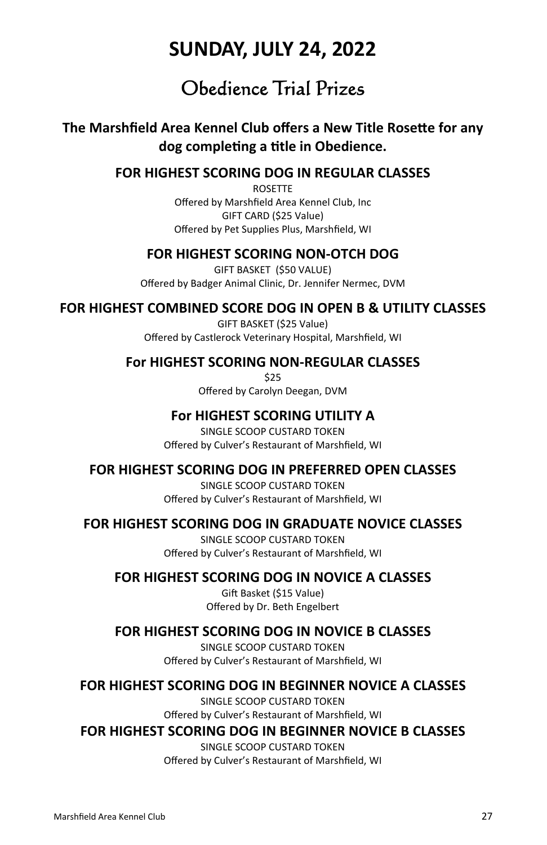### **SUNDAY, JULY 24, 2022**

### Obedience Trial Prizes

#### **The Marshfield Area Kennel Club offers a New Title Rosette for any dog compleƟng a Ɵtle in Obedience.**

#### **FOR HIGHEST SCORING DOG IN REGULAR CLASSES**

ROSETTE Offered by Marshfield Area Kennel Club, Inc GIFT CARD (\$25 Value) Offered by Pet Supplies Plus, Marshfield, WI

#### **FOR HIGHEST SCORING NON-OTCH DOG**

GIFT BASKET (\$50 VALUE) Offered by Badger Animal Clinic, Dr. Jennifer Nermec, DVM

#### **FOR HIGHEST COMBINED SCORE DOG IN OPEN B & UTILITY CLASSES**

GIFT BASKET (\$25 Value) Offered by Castlerock Veterinary Hospital, Marshfield, WI

#### **For HIGHEST SCORING NON-REGULAR CLASSES**

\$25 Offered by Carolyn Deegan, DVM

#### **For HIGHEST SCORING UTILITY A**

SINGLE SCOOP CUSTARD TOKEN Offered by Culver's Restaurant of Marshfield, WI

#### **FOR HIGHEST SCORING DOG IN PREFERRED OPEN CLASSES**

SINGLE SCOOP CUSTARD TOKEN Offered by Culver's Restaurant of Marshfield, WI

#### **FOR HIGHEST SCORING DOG IN GRADUATE NOVICE CLASSES**

SINGLE SCOOP CUSTARD TOKEN Offered by Culver's Restaurant of Marshfield, WI

#### **FOR HIGHEST SCORING DOG IN NOVICE A CLASSES**

Gift Basket (\$15 Value) Offered by Dr. Beth Engelbert

#### **FOR HIGHEST SCORING DOG IN NOVICE B CLASSES**

SINGLE SCOOP CUSTARD TOKEN Offered by Culver's Restaurant of Marshfield, WI

#### **FOR HIGHEST SCORING DOG IN BEGINNER NOVICE A CLASSES**

SINGLE SCOOP CUSTARD TOKEN Offered by Culver's Restaurant of Marshfield, WI

#### **FOR HIGHEST SCORING DOG IN BEGINNER NOVICE B CLASSES**

SINGLE SCOOP CUSTARD TOKEN Offered by Culver's Restaurant of Marshfield, WI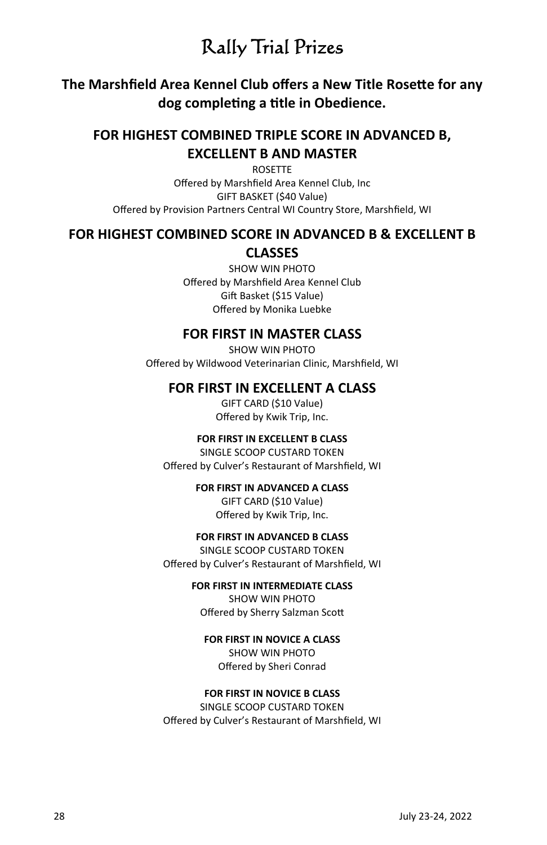### Rally Trial Prizes

#### **The Marshfield Area Kennel Club offers a New Title Rosette for any dog compleƟng a Ɵtle in Obedience.**

#### **FOR HIGHEST COMBINED TRIPLE SCORE IN ADVANCED B, EXCELLENT B AND MASTER**

ROSETTE Offered by Marshfield Area Kennel Club, Inc GIFT BASKET (\$40 Value) Offered by Provision Partners Central WI Country Store, Marshfield, WI

#### **FOR HIGHEST COMBINED SCORE IN ADVANCED B & EXCELLENT B**

#### **CLASSES**

SHOW WIN PHOTO Offered by Marshfield Area Kennel Club Gift Basket (\$15 Value) Offered by Monika Luebke

#### **FOR FIRST IN MASTER CLASS**

SHOW WIN PHOTO Offered by Wildwood Veterinarian Clinic, Marshfield, WI

#### **FOR FIRST IN EXCELLENT A CLASS**

GIFT CARD (\$10 Value) Offered by Kwik Trip, Inc.

#### **FOR FIRST IN EXCELLENT B CLASS**

SINGLE SCOOP CUSTARD TOKEN Offered by Culver's Restaurant of Marshfield, WI

#### **FOR FIRST IN ADVANCED A CLASS**

GIFT CARD (\$10 Value) Offered by Kwik Trip, Inc.

#### **FOR FIRST IN ADVANCED B CLASS**

SINGLE SCOOP CUSTARD TOKEN Offered by Culver's Restaurant of Marshfield, WI

#### **FOR FIRST IN INTERMEDIATE CLASS**

SHOW WIN PHOTO Offered by Sherry Salzman Scott

#### **FOR FIRST IN NOVICE A CLASS**

SHOW WIN PHOTO Offered by Sheri Conrad

#### **FOR FIRST IN NOVICE B CLASS**

SINGLE SCOOP CUSTARD TOKEN Offered by Culver's Restaurant of Marshfield, WI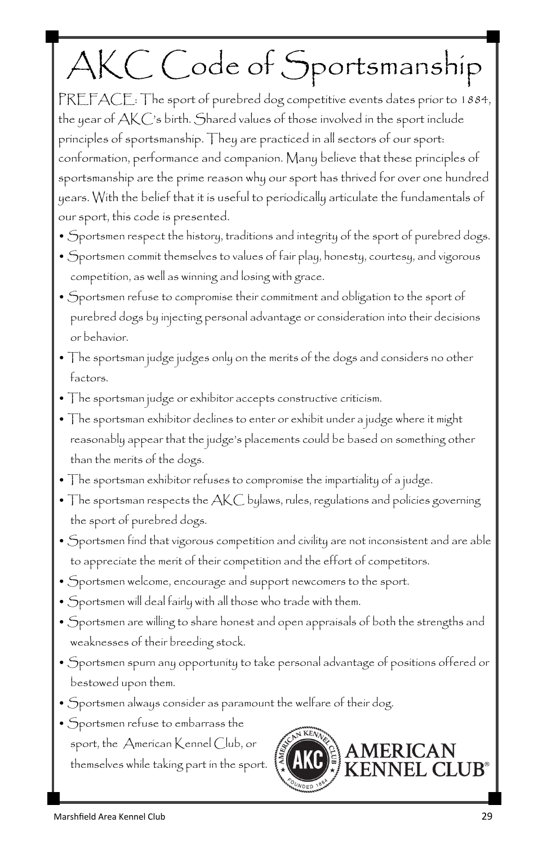# AKC Code of Sportsmanship

PREFACE: The sport of purebred dog competitive events dates prior to 1884, the year of AKC's birth. Shared values of those involved in the sport include principles of sportsmanship. They are practiced in all sectors of our sport: conformation, performance and companion. Many believe that these principles of sportsmanship are the prime reason why our sport has thrived for over one hundred years. With the belief that it is useful to periodically articulate the fundamentals of our sport, this code is presented.

- Sportsmen respect the history, traditions and integrity of the sport of purebred dogs.
- Sportsmen commit themselves to values of fair play, honesty, courtesy, and vigorous competition, as well as winning and losing with grace.
- Sportsmen refuse to compromise their commitment and obligation to the sport of purebred dogs by injecting personal advantage or consideration into their decisions or behavior.
- The sportsman judge judges only on the merits of the dogs and considers no other factors.
- The sportsman judge or exhibitor accepts constructive criticism.
- The sportsman exhibitor declines to enter or exhibit under a judge where it might reasonably appear that the judge's placements could be based on something other than the merits of the dogs.
- The sportsman exhibitor refuses to compromise the impartiality of a judge.
- The sportsman respects the AKC bylaws, rules, regulations and policies governing the sport of purebred dogs.
- Sportsmen find that vigorous competition and civility are not inconsistent and are able to appreciate the merit of their competition and the effort of competitors.
- Sportsmen welcome, encourage and support newcomers to the sport.
- Sportsmen will deal fairly with all those who trade with them.
- Sportsmen are willing to share honest and open appraisals of both the strengths and weaknesses of their breeding stock.
- Sportsmen spurn any opportunity to take personal advantage of positions offered or bestowed upon them.
- Sportsmen always consider as paramount the welfare of their dog.
- Sportsmen refuse to embarrass the sport, the American Kennel Club, or themselves while taking part in the sport.

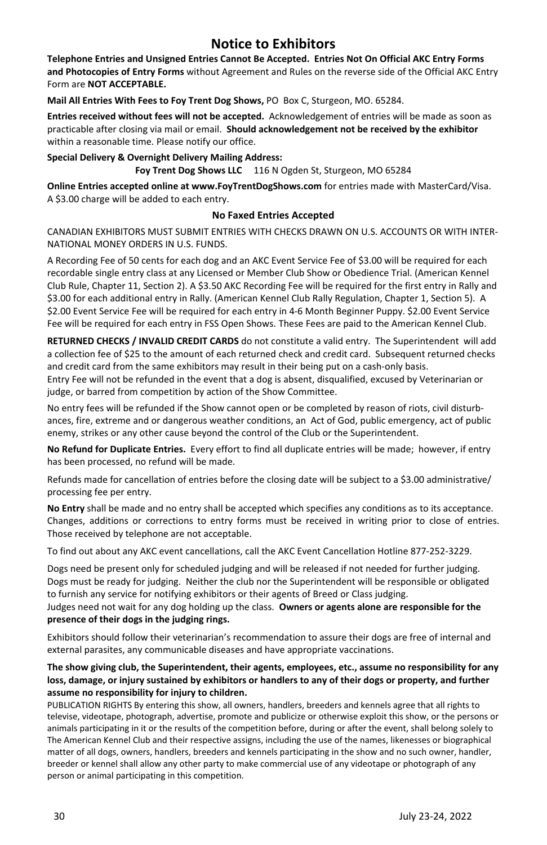#### **Notice to Exhibitors**

**Telephone Entries and Unsigned Entries Cannot Be Accepted. Entries Not On Official AKC Entry Forms and Photocopies of Entry Forms** without Agreement and Rules on the reverse side of the Official AKC Entry Form are **NOT ACCEPTABLE.** 

**Mail All Entries With Fees to Foy Trent Dog Shows,** PO Box C, Sturgeon, MO. 65284.

**Entries received without fees will not be accepted.** Acknowledgement of entries will be made as soon as practicable after closing via mail or email. **Should acknowledgement not be received by the exhibitor**  within a reasonable time. Please notify our office.

**Special Delivery & Overnight Delivery Mailing Address: Foy Trent Dog Shows LLC** 116 N Ogden St, Sturgeon, MO 65284

**Online Entries accepted online at www.FoyTrentDogShows.com** for entries made with MasterCard/Visa. A \$3.00 charge will be added to each entry.

#### **No Faxed Entries Accepted**

CANADIAN EXHIBITORS MUST SUBMIT ENTRIES WITH CHECKS DRAWN ON U.S. ACCOUNTS OR WITH INTER-NATIONAL MONEY ORDERS IN U.S. FUNDS.

A Recording Fee of 50 cents for each dog and an AKC Event Service Fee of \$3.00 will be required for each recordable single entry class at any Licensed or Member Club Show or Obedience Trial. (American Kennel Club Rule, Chapter 11, Section 2). A \$3.50 AKC Recording Fee will be required for the first entry in Rally and \$3.00 for each additional entry in Rally. (American Kennel Club Rally Regulation, Chapter 1, Section 5). A \$2.00 Event Service Fee will be required for each entry in 4-6 Month Beginner Puppy. \$2.00 Event Service Fee will be required for each entry in FSS Open Shows. These Fees are paid to the American Kennel Club.

**RETURNED CHECKS / INVALID CREDIT CARDS** do not constitute a valid entry. The Superintendent will add a collection fee of \$25 to the amount of each returned check and credit card. Subsequent returned checks and credit card from the same exhibitors may result in their being put on a cash-only basis.

Entry Fee will not be refunded in the event that a dog is absent, disqualified, excused by Veterinarian or judge, or barred from competition by action of the Show Committee.

No entry fees will be refunded if the Show cannot open or be completed by reason of riots, civil disturbances, fire, extreme and or dangerous weather conditions, an Act of God, public emergency, act of public enemy, strikes or any other cause beyond the control of the Club or the Superintendent.

**No Refund for Duplicate Entries.** Every effort to find all duplicate entries will be made; however, if entry has been processed, no refund will be made.

Refunds made for cancellation of entries before the closing date will be subject to a \$3.00 administrative/ processing fee per entry.

**No Entry** shall be made and no entry shall be accepted which specifies any conditions as to its acceptance. Changes, additions or corrections to entry forms must be received in writing prior to close of entries. Those received by telephone are not acceptable.

To find out about any AKC event cancellations, call the AKC Event Cancellation Hotline 877-252-3229.

Dogs need be present only for scheduled judging and will be released if not needed for further judging. Dogs must be ready for judging. Neither the club nor the Superintendent will be responsible or obligated to furnish any service for notifying exhibitors or their agents of Breed or Class judging. Judges need not wait for any dog holding up the class. **Owners or agents alone are responsible for the** 

#### **presence of their dogs in the judging rings.**

Exhibitors should follow their veterinarian's recommendation to assure their dogs are free of internal and external parasites, any communicable diseases and have appropriate vaccinations.

#### **The show giving club, the Superintendent, their agents, employees, etc., assume no responsibility for any loss, damage, or injury sustained by exhibitors or handlers to any of their dogs or property, and further assume no responsibility for injury to children.**

PUBLICATION RIGHTS By entering this show, all owners, handlers, breeders and kennels agree that all rights to televise, videotape, photograph, advertise, promote and publicize or otherwise exploit this show, or the persons or animals participating in it or the results of the competition before, during or after the event, shall belong solely to The American Kennel Club and their respective assigns, including the use of the names, likenesses or biographical matter of all dogs, owners, handlers, breeders and kennels participating in the show and no such owner, handler, breeder or kennel shall allow any other party to make commercial use of any videotape or photograph of any person or animal participating in this competition.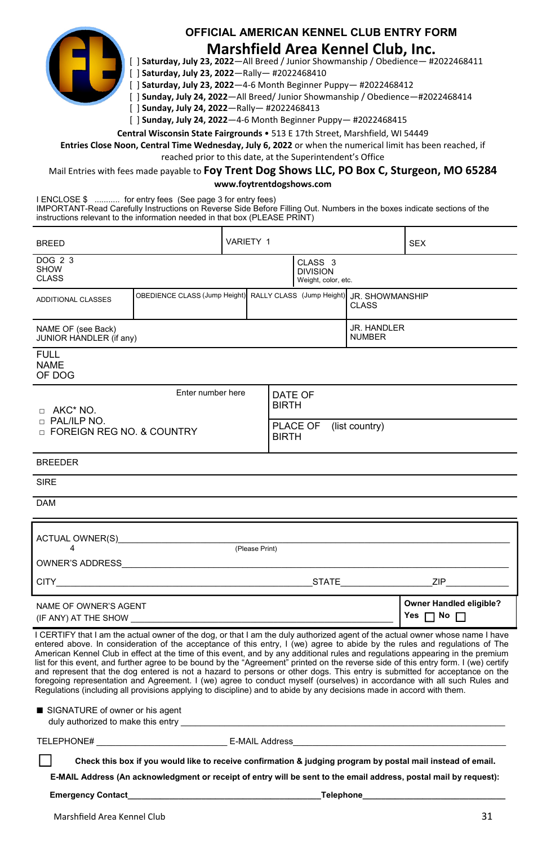

#### **OFFICIAL AMERICAN KENNEL CLUB ENTRY FORM**

#### **Marshfield Area Kennel Club, Inc.**

[ ] **Saturday, July 23, 2022**—All Breed / Junior Showmanship / Obedience— #2022468411

[ ] **Saturday, July 23, 2022**—Rally— #2022468410

[ ] **Saturday, July 23, 2022**—4-6 Month Beginner Puppy— #2022468412

[ ] **Sunday, July 24, 2022**—All Breed/ Junior Showmanship / Obedience—#2022468414

[ ] **Sunday, July 24, 2022**—Rally— #2022468413

[ ] **Sunday, July 24, 2022**—4-6 Month Beginner Puppy— #2022468415

**Central Wisconsin State Fairgrounds** • 513 E 17th Street, Marshfield, WI 54449

**Entries Close Noon, Central Time Wednesday, July 6, 2022** or when the numerical limit has been reached, if

reached prior to this date, at the Superintendent's Office

Mail Entries with fees made payable to **Foy Trent Dog Shows LLC, PO Box C, Sturgeon, MO 65284 www.foytrentdogshows.com** 

I ENCLOSE \$ ........... for entry fees (See page 3 for entry fees) IMPORTANT-Read Carefully Instructions on Reverse Side Before Filling Out. Numbers in the boxes indicate sections of the instructions relevant to the information needed in that box (PLEASE PRINT)

| <b>BREED</b>                                                                                                                                                                                                                                                                                                                                                                                                                                                                                                                                                                                                                                                                                                                                                                                                                                                                                                             |  | VARIETY 1                                                               |  |                                            |       | <b>SEX</b>                                                                                                                                                                                                                     |  |  |
|--------------------------------------------------------------------------------------------------------------------------------------------------------------------------------------------------------------------------------------------------------------------------------------------------------------------------------------------------------------------------------------------------------------------------------------------------------------------------------------------------------------------------------------------------------------------------------------------------------------------------------------------------------------------------------------------------------------------------------------------------------------------------------------------------------------------------------------------------------------------------------------------------------------------------|--|-------------------------------------------------------------------------|--|--------------------------------------------|-------|--------------------------------------------------------------------------------------------------------------------------------------------------------------------------------------------------------------------------------|--|--|
| DOG 2 3<br><b>SHOW</b><br><b>CLASS</b>                                                                                                                                                                                                                                                                                                                                                                                                                                                                                                                                                                                                                                                                                                                                                                                                                                                                                   |  | CLASS <sub>3</sub><br><b>DIVISION</b><br>Weight, color, etc.            |  |                                            |       |                                                                                                                                                                                                                                |  |  |
| ADDITIONAL CLASSES                                                                                                                                                                                                                                                                                                                                                                                                                                                                                                                                                                                                                                                                                                                                                                                                                                                                                                       |  | OBEDIENCE CLASS (Jump Height) RALLY CLASS (Jump Height) JR, SHOWMANSHIP |  |                                            | CLASS |                                                                                                                                                                                                                                |  |  |
| NAME OF (see Back)<br>JUNIOR HANDLER (if any)                                                                                                                                                                                                                                                                                                                                                                                                                                                                                                                                                                                                                                                                                                                                                                                                                                                                            |  |                                                                         |  | <b>JR. HANDLER</b><br><b>NUMBER</b>        |       |                                                                                                                                                                                                                                |  |  |
| <b>FULL</b><br><b>NAME</b><br>OF DOG                                                                                                                                                                                                                                                                                                                                                                                                                                                                                                                                                                                                                                                                                                                                                                                                                                                                                     |  |                                                                         |  |                                            |       |                                                                                                                                                                                                                                |  |  |
| Enter number here<br>$\Box$ AKC* NO.                                                                                                                                                                                                                                                                                                                                                                                                                                                                                                                                                                                                                                                                                                                                                                                                                                                                                     |  |                                                                         |  | DATE OF<br><b>BIRTH</b>                    |       |                                                                                                                                                                                                                                |  |  |
| n PAL/ILP NO.<br>D FOREIGN REG NO. & COUNTRY                                                                                                                                                                                                                                                                                                                                                                                                                                                                                                                                                                                                                                                                                                                                                                                                                                                                             |  |                                                                         |  | PLACE OF<br>(list country)<br><b>BIRTH</b> |       |                                                                                                                                                                                                                                |  |  |
| <b>BREEDER</b>                                                                                                                                                                                                                                                                                                                                                                                                                                                                                                                                                                                                                                                                                                                                                                                                                                                                                                           |  |                                                                         |  |                                            |       |                                                                                                                                                                                                                                |  |  |
| <b>SIRE</b>                                                                                                                                                                                                                                                                                                                                                                                                                                                                                                                                                                                                                                                                                                                                                                                                                                                                                                              |  |                                                                         |  |                                            |       |                                                                                                                                                                                                                                |  |  |
| <b>DAM</b>                                                                                                                                                                                                                                                                                                                                                                                                                                                                                                                                                                                                                                                                                                                                                                                                                                                                                                               |  |                                                                         |  |                                            |       |                                                                                                                                                                                                                                |  |  |
|                                                                                                                                                                                                                                                                                                                                                                                                                                                                                                                                                                                                                                                                                                                                                                                                                                                                                                                          |  |                                                                         |  |                                            |       |                                                                                                                                                                                                                                |  |  |
|                                                                                                                                                                                                                                                                                                                                                                                                                                                                                                                                                                                                                                                                                                                                                                                                                                                                                                                          |  |                                                                         |  |                                            |       |                                                                                                                                                                                                                                |  |  |
|                                                                                                                                                                                                                                                                                                                                                                                                                                                                                                                                                                                                                                                                                                                                                                                                                                                                                                                          |  |                                                                         |  |                                            |       | CITY CITY CONTROL CITY CONTROL CONTROL CONTROL CITY CONTROL CONTROL CONTROL CONTROL CONTROL CONTROL CONTROL CONTROL CONTROL CONTROL CONTROL CONTROL CONTROL CONTROL CONTROL CONTROL CONTROL CONTROL CONTROL CONTROL CONTROL CO |  |  |
| NAME OF OWNER'S AGENT<br>(IF ANY) AT THE SHOW (IF ANY)                                                                                                                                                                                                                                                                                                                                                                                                                                                                                                                                                                                                                                                                                                                                                                                                                                                                   |  |                                                                         |  |                                            |       | Owner Handled eligible?<br>Yes $\Box$ No $\Box$                                                                                                                                                                                |  |  |
| I CERTIFY that I am the actual owner of the dog, or that I am the duly authorized agent of the actual owner whose name I have<br>entered above. In consideration of the acceptance of this entry, I (we) agree to abide by the rules and regulations of The<br>American Kennel Club in effect at the time of this event, and by any additional rules and regulations appearing in the premium<br>list for this event, and further agree to be bound by the "Agreement" printed on the reverse side of this entry form. I (we) certify<br>and represent that the dog entered is not a hazard to persons or other dogs. This entry is submitted for acceptance on the<br>foregoing representation and Agreement. I (we) agree to conduct myself (ourselves) in accordance with all such Rules and<br>Requlations (including all provisions applying to discipline) and to abide by any decisions made in accord with them. |  |                                                                         |  |                                            |       |                                                                                                                                                                                                                                |  |  |

■ SIGNATURE of owner or his agent duly authorized to make this entry

TELEPHONE# \_\_\_\_\_\_\_\_\_\_\_\_\_\_\_\_\_\_\_\_\_\_\_\_\_\_\_ E-MAIL Address\_\_\_\_\_\_\_\_\_\_\_\_\_\_\_\_\_\_\_\_\_\_\_\_\_\_\_\_\_\_\_\_\_\_\_\_\_\_\_\_\_\_\_\_

**Check this box if you would like to receive confirmation & judging program by postal mail instead of email.** 

**E-MAIL Address (An acknowledgment or receipt of entry will be sent to the email address, postal mail by request):**

**Emergency Contact\_\_\_\_\_\_\_\_\_\_\_\_\_\_\_\_\_\_\_\_\_\_\_\_\_\_\_\_\_\_\_\_\_\_\_\_\_\_\_\_\_\_Telephone\_\_\_\_\_\_\_\_\_\_\_\_\_\_\_\_\_\_\_\_\_\_\_\_\_\_\_\_\_\_\_**